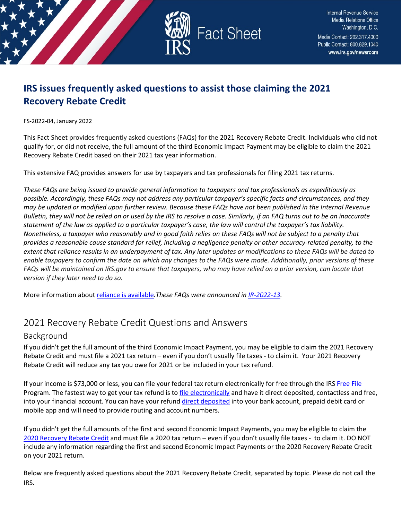

# **IRS issues frequently asked questions to assist those claiming the 2021 Recovery Rebate Credit**

FS-2022-04, January 2022

This Fact Sheet provides frequently asked questions (FAQs) for the 2021 Recovery Rebate Credit. Individuals who did not qualify for, or did not receive, the full amount of the third Economic Impact Payment may be eligible to claim the 2021 Recovery Rebate Credit based on their 2021 tax year information.

This extensive FAQ provides answers for use by taxpayers and tax professionals for filing 2021 tax returns.

*These FAQs are being issued to provide general information to taxpayers and tax professionals as expeditiously as possible. Accordingly, these FAQs may not address any particular taxpayer's specific facts and circumstances, and they may be updated or modified upon further review. Because these FAQs have not been published in the Internal Revenue Bulletin, they will not be relied on or used by the IRS to resolve a case. Similarly, if an FAQ turns out to be an inaccurate statement of the law as applied to a particular taxpayer's case, the law will control the taxpayer's tax liability. Nonetheless, a taxpayer who reasonably and in good faith relies on these FAQs will not be subject to a penalty that provides a reasonable cause standard for relief, including a negligence penalty or other accuracy-related penalty, to the extent that reliance results in an underpayment of tax. Any later updates or modifications to these FAQs will be dated to enable taxpayers to confirm the date on which any changes to the FAQs were made. Additionally, prior versions of these FAQs will be maintained on IRS.gov to ensure that taxpayers, who may have relied on a prior version, can locate that version if they later need to do so.*

More information abou[t reliance is available](https://www.irs.gov/newsroom/general-overview-of-taxpayer-reliance-on-guidance-published-in-the-internal-revenue-bulletin-and-faqs)*.These FAQs were announced in [IR-2022-13.](https://www.irs.gov/newsroom/irs-issues-frequently-asked-questions-and-answers-for-2021-recovery-rebate-credit)* 

# 2021 Recovery Rebate Credit Questions and Answers

# Background

If you didn't get the full amount of the third Economic Impact Payment, you may be eligible to claim the 2021 Recovery Rebate Credit and must file a 2021 tax return – even if you don't usually file taxes - to claim it. Your 2021 Recovery Rebate Credit will reduce any tax you owe for 2021 or be included in your tax refund.

If your income is \$73,000 or less, you can file your federal tax return electronically for free through the IRS [Free File](https://www.irs.gov/filing/free-file-do-your-federal-taxes-for-free) Program. The fastest way to get your tax refund is t[o file electronically](https://www.irs.gov/filing/e-file-options) and have it direct deposited, contactless and free, into your financial account. You can have your refund [direct deposited](https://www.irs.gov/refunds/get-your-refund-faster-tell-irs-to-direct-deposit-your-refund-to-one-two-or-three-accounts) into your bank account, prepaid debit card or mobile app and will need to provide routing and account numbers.

If you didn't get the full amounts of the first and second Economic Impact Payments, you may be eligible to claim the [2020 Recovery Rebate Credit](https://www.irs.gov/newsroom/recovery-rebate-credit) and must file a 2020 tax return – even if you don't usually file taxes - to claim it. DO NOT include any information regarding the first and second Economic Impact Payments or the 2020 Recovery Rebate Credit on your 2021 return.

Below are frequently asked questions about the 2021 Recovery Rebate Credit, separated by topic. Please do not call the IRS.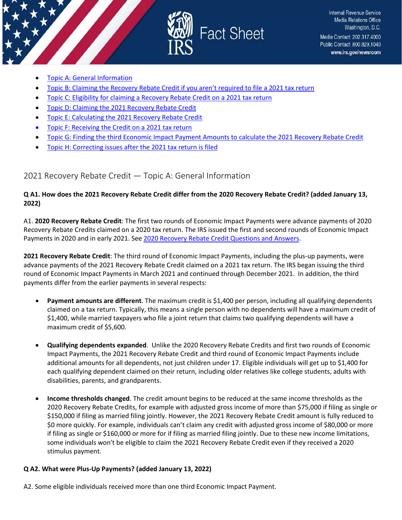

- [Topic A: General Information](#page-1-0)
- [Topic B: Claiming the Recovery Rebate Credit if you aren't required to file a 2021 tax return](#page-4-0)
- [Topic C: Eligibility for claiming a Recovery Rebate Credit on a 2021 tax return](#page-7-0)
- [Topic D: Claiming the 2021 Recovery Rebate Credit](#page-13-0)
- [Topic E: Calculating the 2021 Recovery Rebate Credit](#page-15-0)
- [Topic F: Receiving the Credit on a 2021 tax return](#page-21-0)
- [Topic G: Finding the third Economic Impact Payment Amounts to calculate the 2021 Recovery Rebate Credit](#page-26-0)
- [Topic H: Correcting issues after the 2021 tax return is filed](#page-27-0)

# <span id="page-1-0"></span>2021 Recovery Rebate Credit — Topic A: General Information

# **Q A1. How does the 2021 Recovery Rebate Credit differ from the 2020 Recovery Rebate Credit? (added January 13, 2022)**

A1. **2020 Recovery Rebate Credit**: The first two rounds of Economic Impact Payments were advance payments of 2020 Recovery Rebate Credits claimed on a 2020 tax return. The IRS issued the first and second rounds of Economic Impact Payments in 2020 and in early 2021. Se[e 2020 Recovery Rebate Credit Questions and Answers.](https://www.irs.gov/newsroom/recovery-rebate-credit-frequently-asked-questions)

**2021 Recovery Rebate Credit**: The third round of Economic Impact Payments, including the plus-up payments, were advance payments of the 2021 Recovery Rebate Credit claimed on a 2021 tax return. The IRS began issuing the third round of Economic Impact Payments in March 2021 and continued through December 2021. In addition, the third payments differ from the earlier payments in several respects:

- **Payment amounts are different**. The maximum credit is \$1,400 per person, including all qualifying dependents claimed on a tax return. Typically, this means a single person with no dependents will have a maximum credit of \$1,400, while married taxpayers who file a joint return that claims two qualifying dependents will have a maximum credit of \$5,600.
- **Qualifying dependents expanded**. Unlike the 2020 Recovery Rebate Credits and first two rounds of Economic Impact Payments, the 2021 Recovery Rebate Credit and third round of Economic Impact Payments include additional amounts for all dependents, not just children under 17. Eligible individuals will get up to \$1,400 for each qualifying dependent claimed on their return, including older relatives like college students, adults with disabilities, parents, and grandparents.
- **Income thresholds changed**. The credit amount begins to be reduced at the same income thresholds as the 2020 Recovery Rebate Credits, for example with adjusted gross income of more than \$75,000 if filing as single or \$150,000 if filing as married filing jointly. However, the 2021 Recovery Rebate Credit amount is fully reduced to \$0 more quickly. For example, individuals can't claim any credit with adjusted gross income of \$80,000 or more if filing as single or \$160,000 or more for if filing as married filing jointly. Due to these new income limitations, some individuals won't be eligible to claim the 2021 Recovery Rebate Credit even if they received a 2020 stimulus payment.

# **Q A2. What were Plus-Up Payments? (added January 13, 2022)**

A2. Some eligible individuals received more than one third Economic Impact Payment.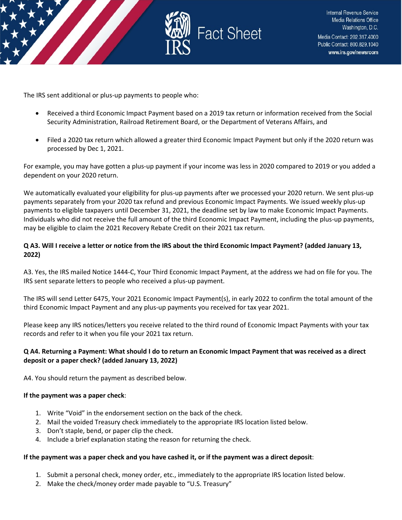

The IRS sent additional or plus-up payments to people who:

- Received a third Economic Impact Payment based on a 2019 tax return or information received from the Social Security Administration, Railroad Retirement Board, or the Department of Veterans Affairs, and
- Filed a 2020 tax return which allowed a greater third Economic Impact Payment but only if the 2020 return was processed by Dec 1, 2021.

For example, you may have gotten a plus-up payment if your income was less in 2020 compared to 2019 or you added a dependent on your 2020 return.

We automatically evaluated your eligibility for plus-up payments after we processed your 2020 return. We sent plus-up payments separately from your 2020 tax refund and previous Economic Impact Payments. We issued weekly plus-up payments to eligible taxpayers until December 31, 2021, the deadline set by law to make Economic Impact Payments. Individuals who did not receive the full amount of the third Economic Impact Payment, including the plus-up payments, may be eligible to claim the 2021 Recovery Rebate Credit on their 2021 tax return.

#### **Q A3. Will I receive a letter or notice from the IRS about the third Economic Impact Payment? (added January 13, 2022)**

A3. Yes, the IRS mailed Notice 1444-C, Your Third Economic Impact Payment, at the address we had on file for you. The IRS sent separate letters to people who received a plus-up payment.

The IRS will send Letter 6475, Your 2021 Economic Impact Payment(s), in early 2022 to confirm the total amount of the third Economic Impact Payment and any plus-up payments you received for tax year 2021.

Please keep any IRS notices/letters you receive related to the third round of Economic Impact Payments with your tax records and refer to it when you file your 2021 tax return.

# **Q A4. Returning a Payment: What should I do to return an Economic Impact Payment that was received as a direct deposit or a paper check? (added January 13, 2022)**

A4. You should return the payment as described below.

#### **If the payment was a paper check**:

- 1. Write "Void" in the endorsement section on the back of the check.
- 2. Mail the voided Treasury check immediately to the appropriate IRS location listed below.
- 3. Don't staple, bend, or paper clip the check.
- 4. Include a brief explanation stating the reason for returning the check.

#### **If the payment was a paper check and you have cashed it, or if the payment was a direct deposit**:

- 1. Submit a personal check, money order, etc., immediately to the appropriate IRS location listed below.
- 2. Make the check/money order made payable to "U.S. Treasury"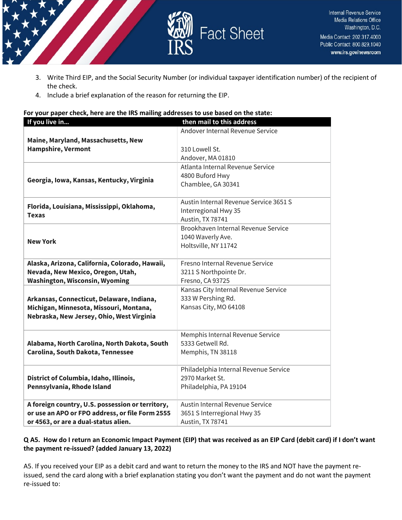

- 3. Write Third EIP, and the Social Security Number (or individual taxpayer identification number) of the recipient of the check.
- 4. Include a brief explanation of the reason for returning the EIP.

#### **For your paper check, here are the IRS mailing addresses to use based on the state:**

| If you live in                                                                       | then mail to this address                   |
|--------------------------------------------------------------------------------------|---------------------------------------------|
|                                                                                      | Andover Internal Revenue Service            |
| Maine, Maryland, Massachusetts, New                                                  |                                             |
| <b>Hampshire, Vermont</b>                                                            | 310 Lowell St.                              |
|                                                                                      | Andover, MA 01810                           |
| Georgia, Iowa, Kansas, Kentucky, Virginia                                            | Atlanta Internal Revenue Service            |
|                                                                                      | 4800 Buford Hwy                             |
|                                                                                      | Chamblee, GA 30341                          |
|                                                                                      |                                             |
| Florida, Louisiana, Mississippi, Oklahoma,<br><b>Texas</b>                           | Austin Internal Revenue Service 3651 S      |
|                                                                                      | Interregional Hwy 35                        |
|                                                                                      | Austin, TX 78741                            |
|                                                                                      | Brookhaven Internal Revenue Service         |
| <b>New York</b>                                                                      | 1040 Waverly Ave.                           |
|                                                                                      | Holtsville, NY 11742                        |
|                                                                                      |                                             |
| Alaska, Arizona, California, Colorado, Hawaii,                                       | Fresno Internal Revenue Service             |
| Nevada, New Mexico, Oregon, Utah,                                                    | 3211 S Northpointe Dr.                      |
| <b>Washington, Wisconsin, Wyoming</b>                                                | Fresno, CA 93725                            |
|                                                                                      | Kansas City Internal Revenue Service        |
| Arkansas, Connecticut, Delaware, Indiana,                                            | 333 W Pershing Rd.<br>Kansas City, MO 64108 |
| Michigan, Minnesota, Missouri, Montana,<br>Nebraska, New Jersey, Ohio, West Virginia |                                             |
|                                                                                      |                                             |
|                                                                                      | Memphis Internal Revenue Service            |
| Alabama, North Carolina, North Dakota, South                                         | 5333 Getwell Rd.                            |
| Carolina, South Dakota, Tennessee                                                    | Memphis, TN 38118                           |
|                                                                                      |                                             |
|                                                                                      | Philadelphia Internal Revenue Service       |
| District of Columbia, Idaho, Illinois,                                               | 2970 Market St.                             |
| Pennsylvania, Rhode Island                                                           | Philadelphia, PA 19104                      |
|                                                                                      |                                             |
| A foreign country, U.S. possession or territory,                                     | Austin Internal Revenue Service             |
| or use an APO or FPO address, or file Form 2555                                      | 3651 S Interregional Hwy 35                 |
| or 4563, or are a dual-status alien.                                                 | Austin, TX 78741                            |

# **Q A5. How do I return an Economic Impact Payment (EIP) that was received as an EIP Card (debit card) if I don't want the payment re-issued? (added January 13, 2022)**

A5. If you received your EIP as a debit card and want to return the money to the IRS and NOT have the payment reissued, send the card along with a brief explanation stating you don't want the payment and do not want the payment re-issued to: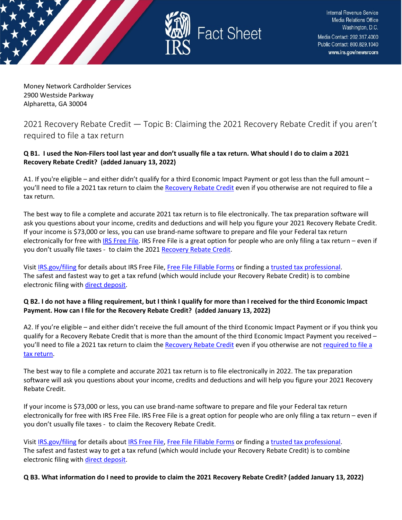

Money Network Cardholder Services 2900 Westside Parkway Alpharetta, GA 30004

# <span id="page-4-0"></span>2021 Recovery Rebate Credit — Topic B: Claiming the 2021 Recovery Rebate Credit if you aren't required to file a tax return

# **Q B1. I used the Non-Filers tool last year and don't usually file a tax return. What should I do to claim a 2021 Recovery Rebate Credit? (added January 13, 2022)**

A1. If you're eligible – and either didn't qualify for a third Economic Impact Payment or got less than the full amount – you'll need to file a 2021 tax return to claim th[e Recovery Rebate](https://www.irs.gov/newsroom/recovery-rebate-credit) Credit even if you otherwise are not required to file a tax return.

The best way to file a complete and accurate 2021 tax return is to file electronically. The tax preparation software will ask you questions about your income, credits and deductions and will help you figure your 2021 Recovery Rebate Credit. If your income is \$73,000 or less, you can use brand-name software to prepare and file your Federal tax return electronically for free with **IRS Free File**. IRS Free File is a great option for people who are only filing a tax return – even if you don't usually file taxes - to claim the 2021 [Recovery Rebate Credit.](https://www.irs.gov/newsroom/recovery-rebate-credit)

Visit [IRS.gov/filing](https://www.irs.gov/filing) for details about IRS Free File[, Free File Fillable Forms](https://www.irs.gov/e-file-providers/free-file-fillable-forms) or finding [a trusted tax professional.](https://www.irs.gov/tax-professionals/choosing-a-tax-professional) The safest and fastest way to get a tax refund (which would include your Recovery Rebate Credit) is to combine electronic filing wit[h direct deposit.](https://www.irs.gov/refunds/get-your-refund-faster-tell-irs-to-direct-deposit-your-refund-to-one-two-or-three-accounts)

# **Q B2. I do not have a filing requirement, but I think I qualify for more than I received for the third Economic Impact Payment. How can I file for the Recovery Rebate Credit? (added January 13, 2022)**

A2. If you're eligible – and either didn't receive the full amount of the third Economic Impact Payment or if you think you qualify for a Recovery Rebate Credit that is more than the amount of the third Economic Impact Payment you received – you'll need to file a 2021 tax return to claim th[e Recovery Rebate Credit](https://www.irs.gov/newsroom/recovery-rebate-credit) even if you otherwise are no[t required to file a](https://www.irs.gov/help/ita/do-i-need-to-file-a-tax-return)  [tax return.](https://www.irs.gov/help/ita/do-i-need-to-file-a-tax-return)

The best way to file a complete and accurate 2021 tax return is to file electronically in 2022. The tax preparation software will ask you questions about your income, credits and deductions and will help you figure your 2021 Recovery Rebate Credit.

If your income is \$73,000 or less, you can use brand-name software to prepare and file your Federal tax return electronically for free with IRS Free File. IRS Free File is a great option for people who are only filing a tax return – even if you don't usually file taxes - to claim the Recovery Rebate Credit.

Visit [IRS.gov/filing](https://www.irs.gov/filing) for details about [IRS Free File,](https://www.irs.gov/filing/free-file-do-your-federal-taxes-for-free) [Free File Fillable Forms](https://www.irs.gov/e-file-providers/free-file-fillable-forms) or finding [a trusted tax professional.](https://www.irs.gov/tax-professionals/choosing-a-tax-professional) The safest and fastest way to get a tax refund (which would include your Recovery Rebate Credit) is to combine electronic filing wit[h direct deposit.](https://www.irs.gov/refunds/get-your-refund-faster-tell-irs-to-direct-deposit-your-refund-to-one-two-or-three-accounts)

**Q B3. What information do I need to provide to claim the 2021 Recovery Rebate Credit? (added January 13, 2022)**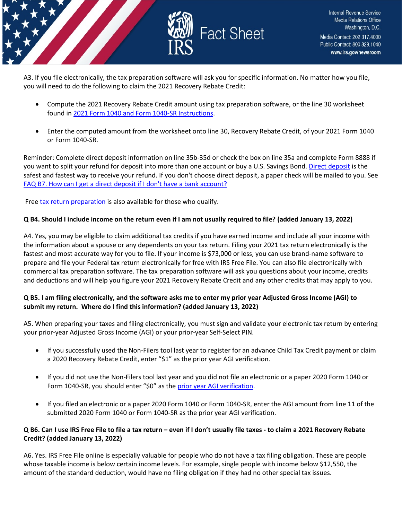

A3. If you file electronically, the tax preparation software will ask you for specific information. No matter how you file, you will need to do the following to claim the 2021 Recovery Rebate Credit:

- Compute the 2021 Recovery Rebate Credit amount using tax preparation software, or the line 30 worksheet found in [2021 Form 1040 and Form 1040-SR Instructions.](https://www.irs.gov/forms-pubs/about-form-1040)
- Enter the computed amount from the worksheet onto line 30, Recovery Rebate Credit, of your 2021 Form 1040 or Form 1040-SR.

Reminder: Complete direct deposit information on line 35b-35d or check the box on line 35a and complete Form 8888 if you want to split your refund for deposit into more than one account or buy a U.S. Savings Bond[. Direct deposit](https://www.irs.gov/refunds/get-your-refund-faster-tell-irs-to-direct-deposit-your-refund-to-one-two-or-three-accounts) is the safest and fastest way to receive your refund. If you don't choose direct deposit, a paper check will be mailed to you. See [FAQ B7. How can I get a direct deposit if I don't have a bank account?](https://www.irs.gov/newsroom/2021-recovery-rebate-credit-topic-b-claiming-the-2021-recovery-rebate-credit-if-you-arent-required-to-file-a-tax-return#q7)

Free [tax return preparation](https://www.irs.gov/individuals/free-tax-return-preparation-for-qualifying-taxpayers) is also available for those who qualify.

# **Q B4. Should I include income on the return even if I am not usually required to file? (added January 13, 2022)**

A4. Yes, you may be eligible to claim additional tax credits if you have earned income and include all your income with the information about a spouse or any dependents on your tax return. Filing your 2021 tax return electronically is the fastest and most accurate way for you to file. If your income is \$73,000 or less, you can use brand-name software to prepare and file your Federal tax return electronically for free with IRS Free File. You can also file electronically with commercial tax preparation software. The tax preparation software will ask you questions about your income, credits and deductions and will help you figure your 2021 Recovery Rebate Credit and any other credits that may apply to you.

# **Q B5. I am filing electronically, and the software asks me to enter my prior year Adjusted Gross Income (AGI) to submit my return. Where do I find this information? (added January 13, 2022)**

A5. When preparing your taxes and filing electronically, you must sign and validate your electronic tax return by entering your prior-year Adjusted Gross Income (AGI) or your prior-year Self-Select PIN.

- If you successfully used the Non-Filers tool last year to register for an advance Child Tax Credit payment or claim a 2020 Recovery Rebate Credit, enter "\$1" as the prior year AGI verification.
- If you did not use the Non-Filers tool last year and you did not file an electronic or a paper 2020 Form 1040 or Form 1040-SR, you should enter "\$0" as th[e prior year AGI verification.](https://www.irs.gov/individuals/electronic-filing-pin-request)
- If you filed an electronic or a paper 2020 Form 1040 or Form 1040-SR, enter the AGI amount from line 11 of the submitted 2020 Form 1040 or Form 1040-SR as the prior year AGI verification.

# **Q B6. Can I use IRS Free File to file a tax return – even if I don't usually file taxes - to claim a 2021 Recovery Rebate Credit? (added January 13, 2022)**

A6. Yes. IRS Free File online is especially valuable for people who do not have a tax filing obligation. These are people whose taxable income is below certain income levels. For example, single people with income below \$12,550, the amount of the standard deduction, would have no filing obligation if they had no other special tax issues.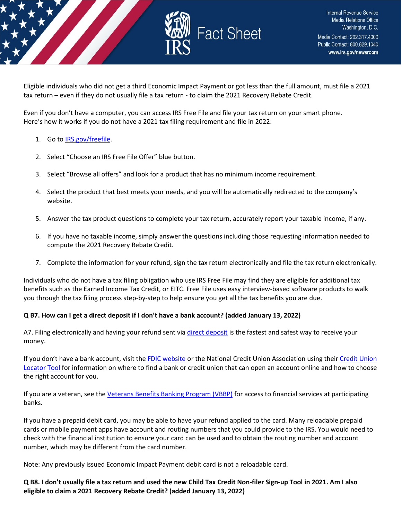

Eligible individuals who did not get a third Economic Impact Payment or got less than the full amount, must file a 2021 tax return – even if they do not usually file a tax return - to claim the 2021 Recovery Rebate Credit.

Even if you don't have a computer, you can access IRS Free File and file your tax return on your smart phone. Here's how it works if you do not have a 2021 tax filing requirement and file in 2022:

#### 1. Go to [IRS.gov/freefile.](https://www.irs.gov/filing/free-file-do-your-federal-taxes-for-free)

- 2. Select "Choose an IRS Free File Offer" blue button.
- 3. Select "Browse all offers" and look for a product that has no minimum income requirement.
- 4. Select the product that best meets your needs, and you will be automatically redirected to the company's website.
- 5. Answer the tax product questions to complete your tax return, accurately report your taxable income, if any.
- 6. If you have no taxable income, simply answer the questions including those requesting information needed to compute the 2021 Recovery Rebate Credit.
- 7. Complete the information for your refund, sign the tax return electronically and file the tax return electronically.

Individuals who do not have a tax filing obligation who use IRS Free File may find they are eligible for additional tax benefits such as the Earned Income Tax Credit, or EITC. Free File uses easy interview-based software products to walk you through the tax filing process step-by-step to help ensure you get all the tax benefits you are due.

# **Q B7. How can I get a direct deposit if I don't have a bank account? (added January 13, 2022)**

A7. Filing electronically and having your refund sent via [direct deposit](https://www.irs.gov/refunds/get-your-refund-faster-tell-irs-to-direct-deposit-your-refund-to-one-two-or-three-accounts) is the fastest and safest way to receive your money.

If you don't have a bank account, visit the [FDIC website](https://www.fdic.gov/about/initiatives/getbanked/index.html) or the National Credit Union Association using thei[r Credit Union](https://www.mycreditunion.gov/about-credit-unions/credit-union-locator)  [Locator Tool](https://www.mycreditunion.gov/about-credit-unions/credit-union-locator) for information on where to find a bank or credit union that can open an account online and how to choose the right account for you.

If you are a veteran, see the [Veterans Benefits Banking Program \(VBBP\)](https://www.benefits.va.gov/benefits/banking.asp) for access to financial services at participating banks.

If you have a prepaid debit card, you may be able to have your refund applied to the card. Many reloadable prepaid cards or mobile payment apps have account and routing numbers that you could provide to the IRS. You would need to check with the financial institution to ensure your card can be used and to obtain the routing number and account number, which may be different from the card number.

Note: Any previously issued Economic Impact Payment debit card is not a reloadable card.

**Q B8. I don't usually file a tax return and used the new Child Tax Credit Non-filer Sign-up Tool in 2021. Am I also eligible to claim a 2021 Recovery Rebate Credit? (added January 13, 2022)**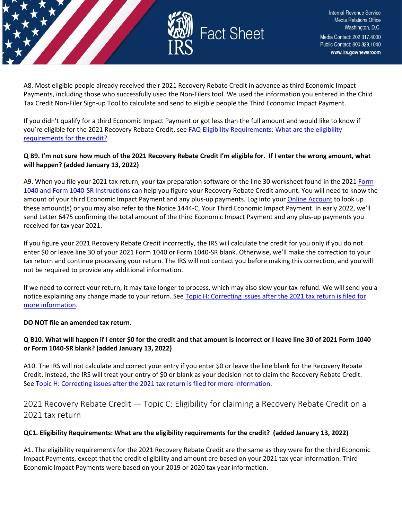

A8. Most eligible people already received their 2021 Recovery Rebate Credit in advance as third Economic Impact Payments, including those who successfully used the Non-Filers tool. We used the information you entered in the Child Tax Credit Non-Filer Sign-up Tool to calculate and send to eligible people the Third Economic Impact Payment.

If you didn't qualify for a third Economic Impact Payment or got less than the full amount and would like to know if you're eligible for the 2021 Recovery Rebate Credit, see FAQ Eligibility Requirements: What are the eligibility [requirements for the credit?](https://www.irs.gov/newsroom/2021-recovery-rebate-credit-topic-c-eligibility-for-claiming-a-recovery-rebate-credit-on-a-2021-tax-return#q1) 

# **Q B9. I'm not sure how much of the 2021 Recovery Rebate Credit I'm eligible for. If I enter the wrong amount, what will happen? (added January 13, 2022)**

A9. When you file your 2021 tax return, your tax preparation software or the line 30 worksheet found in the 202[1 Form](https://www.irs.gov/forms-pubs/about-form-1040)  [1040 and Form 1040-SR Instructions](https://www.irs.gov/forms-pubs/about-form-1040) can help you figure your Recovery Rebate Credit amount. You will need to know the amount of your third Economic Impact Payment and any plus-up payments. Log into your [Online Account](https://www.irs.gov/payments/your-online-account) to look up these amount(s) or you may also refer to the Notice 1444-C, Your Third Economic Impact Payment. In early 2022, we'll send Letter 6475 confirming the total amount of the third Economic Impact Payment and any plus-up payments you received for tax year 2021.

If you figure your 2021 Recovery Rebate Credit incorrectly, the IRS will calculate the credit for you only if you do not enter \$0 or leave line 30 of your 2021 Form 1040 or Form 1040-SR blank. Otherwise, we'll make the correction to your tax return and continue processing your return. The IRS will not contact you before making this correction, and you will not be required to provide any additional information.

If we need to correct your return, it may take longer to process, which may also slow your tax refund. We will send you a notice explaining any change made to your return. See Topic H: Correcting issues after the 2021 tax return is filed for [more information.](https://www.irs.gov/newsroom/2021-recovery-rebate-credit-topic-h-correcting-issues-after-the-2021-tax-return-is-filed)

# **DO NOT file an amended tax return**.

# **Q B10. What will happen if I enter \$0 for the credit and that amount is incorrect or I leave line 30 of 2021 Form 1040 or Form 1040-SR blank? (added January 13, 2022)**

A10. The IRS will not calculate and correct your entry if you enter \$0 or leave the line blank for the Recovery Rebate Credit. Instead, the IRS will treat your entry of \$0 or blank as your decision not to claim the Recovery Rebate Credit. Se[e Topic H: Correcting issues after the 2021 tax return is filed for more information.](https://www.irs.gov/newsroom/2021-recovery-rebate-credit-topic-h-correcting-issues-after-the-2021-tax-return-is-filed)

<span id="page-7-0"></span>2021 Recovery Rebate Credit — Topic C: Eligibility for claiming a Recovery Rebate Credit on a 2021 tax return

# **QC1. Eligibility Requirements: What are the eligibility requirements for the credit? (added January 13, 2022)**

A1. The eligibility requirements for the 2021 Recovery Rebate Credit are the same as they were for the third Economic Impact Payments, except that the credit eligibility and amount are based on your 2021 tax year information. Third Economic Impact Payments were based on your 2019 or 2020 tax year information.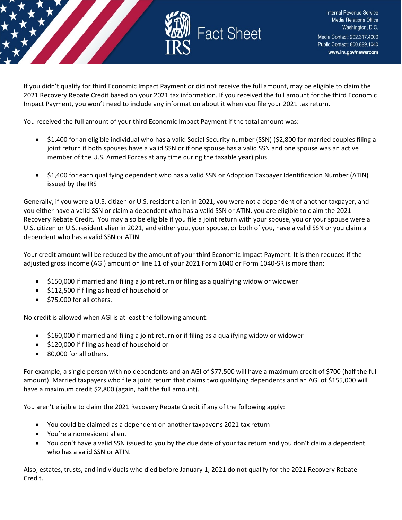

If you didn't qualify for third Economic Impact Payment or did not receive the full amount, may be eligible to claim the 2021 Recovery Rebate Credit based on your 2021 tax information. If you received the full amount for the third Economic Impact Payment, you won't need to include any information about it when you file your 2021 tax return.

You received the full amount of your third Economic Impact Payment if the total amount was:

- \$1,400 for an eligible individual who has a valid Social Security number (SSN) (\$2,800 for married couples filing a joint return if both spouses have a valid SSN or if one spouse has a valid SSN and one spouse was an active member of the U.S. Armed Forces at any time during the taxable year) plus
- \$1,400 for each qualifying dependent who has a valid SSN or Adoption Taxpayer Identification Number (ATIN) issued by the IRS

Generally, if you were a U.S. citizen or U.S. resident alien in 2021, you were not a dependent of another taxpayer, and you either have a valid SSN or claim a dependent who has a valid SSN or ATIN, you are eligible to claim the 2021 Recovery Rebate Credit. You may also be eligible if you file a joint return with your spouse, you or your spouse were a U.S. citizen or U.S. resident alien in 2021, and either you, your spouse, or both of you, have a valid SSN or you claim a dependent who has a valid SSN or ATIN.

Your credit amount will be reduced by the amount of your third Economic Impact Payment. It is then reduced if the adjusted gross income (AGI) amount on line 11 of your 2021 Form 1040 or Form 1040-SR is more than:

- \$150,000 if married and filing a joint return or filing as a qualifying widow or widower
- \$112,500 if filing as head of household or
- \$75,000 for all others.

No credit is allowed when AGI is at least the following amount:

- \$160,000 if married and filing a joint return or if filing as a qualifying widow or widower
- \$120,000 if filing as head of household or
- 80,000 for all others.

For example, a single person with no dependents and an AGI of \$77,500 will have a maximum credit of \$700 (half the full amount). Married taxpayers who file a joint return that claims two qualifying dependents and an AGI of \$155,000 will have a maximum credit \$2,800 (again, half the full amount).

You aren't eligible to claim the 2021 Recovery Rebate Credit if any of the following apply:

- You could be claimed as a dependent on another taxpayer's 2021 tax return
- You're a nonresident alien.
- You don't have a valid SSN issued to you by the due date of your tax return and you don't claim a dependent who has a valid SSN or ATIN.

Also, estates, trusts, and individuals who died before January 1, 2021 do not qualify for the 2021 Recovery Rebate Credit.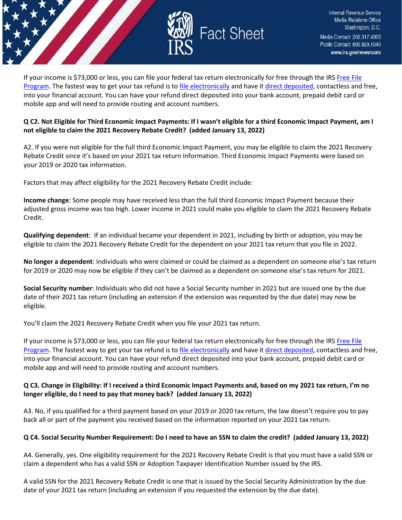

If your income is \$73,000 or less, you can file your federal tax return electronically for free through the IRS [Free File](https://www.irs.gov/filing/free-file-do-your-federal-taxes-for-free)  [Program.](https://www.irs.gov/filing/free-file-do-your-federal-taxes-for-free) The fastest way to get your tax refund is t[o file electronically](https://www.irs.gov/filing/e-file-options) and have it [direct deposited,](https://www.irs.gov/refunds/get-your-refund-faster-tell-irs-to-direct-deposit-your-refund-to-one-two-or-three-accounts) contactless and free, into your financial account. You can have your refund direct deposited into your bank account, prepaid debit card or mobile app and will need to provide routing and account numbers.

# **Q C2. Not Eligible for Third Economic Impact Payments: If I wasn't eligible for a third Economic Impact Payment, am I not eligible to claim the 2021 Recovery Rebate Credit? (added January 13, 2022)**

A2. If you were not eligible for the full third Economic Impact Payment, you may be eligible to claim the 2021 Recovery Rebate Credit since it's based on your 2021 tax return information. Third Economic Impact Payments were based on your 2019 or 2020 tax information.

Factors that may affect eligibility for the 2021 Recovery Rebate Credit include:

**Income change**: Some people may have received less than the full third Economic Impact Payment because their adjusted gross income was too high. Lower income in 2021 could make you eligible to claim the 2021 Recovery Rebate Credit.

**Qualifying dependent**: If an individual became your dependent in 2021, including by birth or adoption, you may be eligible to claim the 2021 Recovery Rebate Credit for the dependent on your 2021 tax return that you file in 2022.

**No longer a dependent**: Individuals who were claimed or could be claimed as a dependent on someone else's tax return for 2019 or 2020 may now be eligible if they can't be claimed as a dependent on someone else's tax return for 2021.

**Social Security number**: Individuals who did not have a Social Security number in 2021 but are issued one by the due date of their 2021 tax return (including an extension if the extension was requested by the due date) may now be eligible.

You'll claim the 2021 Recovery Rebate Credit when you file your 2021 tax return.

If your income is \$73,000 or less, you can file your federal tax return electronically for free through the IRS [Free File](https://www.irs.gov/filing/free-file-do-your-federal-taxes-for-free)  [Program.](https://www.irs.gov/filing/free-file-do-your-federal-taxes-for-free) The fastest way to get your tax refund is t[o file electronically](https://www.irs.gov/filing/e-file-options) and have it [direct deposited,](https://www.irs.gov/refunds/get-your-refund-faster-tell-irs-to-direct-deposit-your-refund-to-one-two-or-three-accounts) contactless and free, into your financial account. You can have your refund direct deposited into your bank account, prepaid debit card or mobile app and will need to provide routing and account numbers.

# **Q C3. Change in Eligibility: If I received a third Economic Impact Payments and, based on my 2021 tax return, I'm no longer eligible, do I need to pay that money back? (added January 13, 2022)**

A3. No, if you qualified for a third payment based on your 2019 or 2020 tax return, the law doesn't require you to pay back all or part of the payment you received based on the information reported on your 2021 tax return.

# **Q C4. Social Security Number Requirement: Do I need to have an SSN to claim the credit? (added January 13, 2022)**

A4. Generally, yes. One eligibility requirement for the 2021 Recovery Rebate Credit is that you must have a valid SSN or claim a dependent who has a valid SSN or Adoption Taxpayer Identification Number issued by the IRS.

A valid SSN for the 2021 Recovery Rebate Credit is one that is issued by the Social Security Administration by the due date of your 2021 tax return (including an extension if you requested the extension by the due date).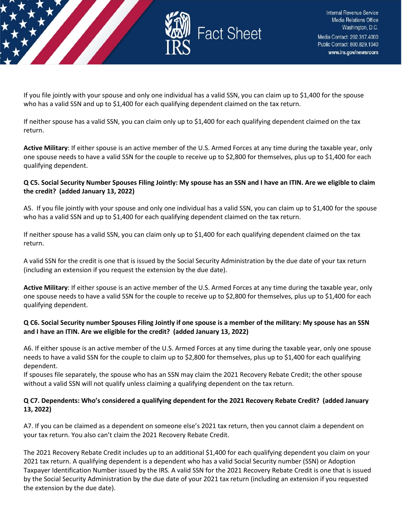

If you file jointly with your spouse and only one individual has a valid SSN, you can claim up to \$1,400 for the spouse who has a valid SSN and up to \$1,400 for each qualifying dependent claimed on the tax return.

If neither spouse has a valid SSN, you can claim only up to \$1,400 for each qualifying dependent claimed on the tax return.

**Active Military**: If either spouse is an active member of the U.S. Armed Forces at any time during the taxable year, only one spouse needs to have a valid SSN for the couple to receive up to \$2,800 for themselves, plus up to \$1,400 for each qualifying dependent.

# **Q C5. Social Security Number Spouses Filing Jointly: My spouse has an SSN and I have an ITIN. Are we eligible to claim the credit? (added January 13, 2022)**

A5. If you file jointly with your spouse and only one individual has a valid SSN, you can claim up to \$1,400 for the spouse who has a valid SSN and up to \$1,400 for each qualifying dependent claimed on the tax return.

If neither spouse has a valid SSN, you can claim only up to \$1,400 for each qualifying dependent claimed on the tax return.

A valid SSN for the credit is one that is issued by the Social Security Administration by the due date of your tax return (including an extension if you request the extension by the due date).

**Active Military**: If either spouse is an active member of the U.S. Armed Forces at any time during the taxable year, only one spouse needs to have a valid SSN for the couple to receive up to \$2,800 for themselves, plus up to \$1,400 for each qualifying dependent.

# **Q C6. Social Security number Spouses Filing Jointly if one spouse is a member of the military: My spouse has an SSN and I have an ITIN. Are we eligible for the credit? (added January 13, 2022)**

A6. If either spouse is an active member of the U.S. Armed Forces at any time during the taxable year, only one spouse needs to have a valid SSN for the couple to claim up to \$2,800 for themselves, plus up to \$1,400 for each qualifying dependent.

If spouses file separately, the spouse who has an SSN may claim the 2021 Recovery Rebate Credit; the other spouse without a valid SSN will not qualify unless claiming a qualifying dependent on the tax return.

# **Q C7. Dependents: Who's considered a qualifying dependent for the 2021 Recovery Rebate Credit? (added January 13, 2022)**

A7. If you can be claimed as a dependent on someone else's 2021 tax return, then you cannot claim a dependent on your tax return. You also can't claim the 2021 Recovery Rebate Credit.

The 2021 Recovery Rebate Credit includes up to an additional \$1,400 for each qualifying dependent you claim on your 2021 tax return. A qualifying dependent is a dependent who has a valid Social Security number (SSN) or Adoption Taxpayer Identification Number issued by the IRS. A valid SSN for the 2021 Recovery Rebate Credit is one that is issued by the Social Security Administration by the due date of your 2021 tax return (including an extension if you requested the extension by the due date).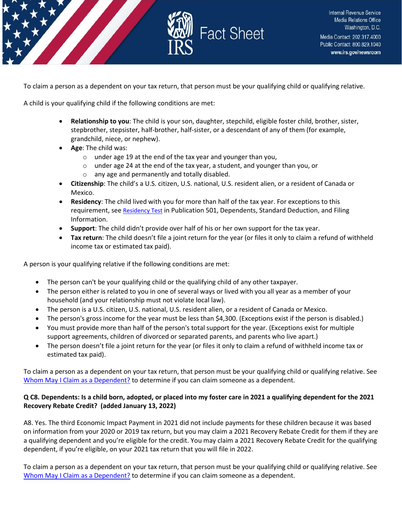

To claim a person as a dependent on your tax return, that person must be your qualifying child or qualifying relative.

A child is your qualifying child if the following conditions are met:

- **Relationship to you**: The child is your son, daughter, stepchild, eligible foster child, brother, sister, stepbrother, stepsister, half-brother, half-sister, or a descendant of any of them (for example, grandchild, niece, or nephew).
- **Age**: The child was:
	- o under age 19 at the end of the tax year and younger than you,
	- o under age 24 at the end of the tax year, a student, and younger than you, or o any age and permanently and totally disabled.
- **Citizenship**: The child's a U.S. citizen, U.S. national, U.S. resident alien, or a resident of Canada or Mexico.
- **Residency**: The child lived with you for more than half of the tax year. For exceptions to this requirement, se[e Residency Test](https://www.irs.gov/pub/irs-pdf/p501.pdf) in Publication 501, Dependents, Standard Deduction, and Filing Information.
- **Support**: The child didn't provide over half of his or her own support for the tax year.
- **Tax return**: The child doesn't file a joint return for the year (or files it only to claim a refund of withheld income tax or estimated tax paid).

A person is your qualifying relative if the following conditions are met:

- The person can't be your qualifying child or the qualifying child of any other taxpayer.
- The person either is related to you in one of several ways or lived with you all year as a member of your household (and your relationship must not violate local law).
- The person is a U.S. citizen, U.S. national, U.S. resident alien, or a resident of Canada or Mexico.
- The person's gross income for the year must be less than \$4,300. (Exceptions exist if the person is disabled.)
- You must provide more than half of the person's total support for the year. (Exceptions exist for multiple support agreements, children of divorced or separated parents, and parents who live apart.)
- The person doesn't file a joint return for the year (or files it only to claim a refund of withheld income tax or estimated tax paid).

To claim a person as a dependent on your tax return, that person must be your qualifying child or qualifying relative. See [Whom May I Claim as a Dependent?](https://www.irs.gov/help/ita/whom-may-i-claim-as-a-dependent) to determine if you can claim someone as a dependent.

# **Q C8. Dependents: Is a child born, adopted, or placed into my foster care in 2021 a qualifying dependent for the 2021 Recovery Rebate Credit? (added January 13, 2022)**

A8. Yes. The third Economic Impact Payment in 2021 did not include payments for these children because it was based on information from your 2020 or 2019 tax return, but you may claim a 2021 Recovery Rebate Credit for them if they are a qualifying dependent and you're eligible for the credit. You may claim a 2021 Recovery Rebate Credit for the qualifying dependent, if you're eligible, on your 2021 tax return that you will file in 2022.

To claim a person as a dependent on your tax return, that person must be your qualifying child or qualifying relative. See [Whom May I Claim as a Dependent?](https://www.irs.gov/help/ita/whom-may-i-claim-as-a-dependent) to determine if you can claim someone as a dependent.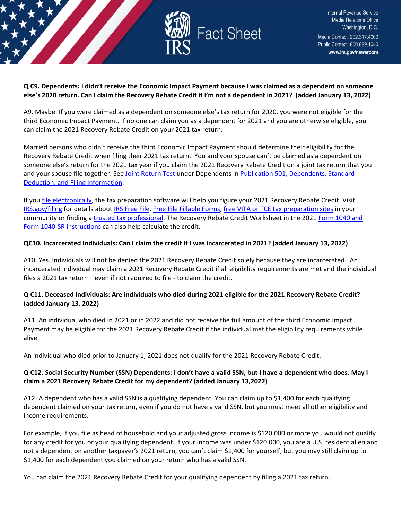

#### **Q C9. Dependents: I didn't receive the Economic Impact Payment because I was claimed as a dependent on someone else's 2020 return. Can I claim the Recovery Rebate Credit if I'm not a dependent in 2021? (added January 13, 2022)**

A9. Maybe. If you were claimed as a dependent on someone else's tax return for 2020, you were not eligible for the third Economic Impact Payment. If no one can claim you as a dependent for 2021 and you are otherwise eligible, you can claim the 2021 Recovery Rebate Credit on your 2021 tax return.

Married persons who didn't receive the third Economic Impact Payment should determine their eligibility for the Recovery Rebate Credit when filing their 2021 tax return. You and your spouse can't be claimed as a dependent on someone else's return for the 2021 tax year if you claim the 2021 Recovery Rebate Credit on a joint tax return that you and your spouse file together. See [Joint Return Test](https://www.irs.gov/pub/irs-pdf/p501.pdf) under Dependents in [Publication 501, Dependents, Standard](https://www.irs.gov/forms-pubs/about-publication-501)  [Deduction, and Filing Information.](https://www.irs.gov/forms-pubs/about-publication-501)

If yo[u file electronically,](https://www.irs.gov/filing/e-file-options) the tax preparation software will help you figure your 2021 Recovery Rebate Credit. Visit [IRS.gov/filing](https://www.irs.gov/filing) for details abou[t IRS Free File,](https://www.irs.gov/filing/free-file-do-your-federal-taxes-for-free) [Free File Fillable Forms,](https://www.irs.gov/e-file-providers/free-file-fillable-forms) [free VITA or TCE tax preparation sites](https://www.irs.gov/individuals/irs-free-tax-return-preparation-programs) in your community or finding [a trusted tax professional.](https://www.irs.gov/tax-professionals/choosing-a-tax-professional) The Recovery Rebate Credit Worksheet in the 2021 [Form 1040 and](https://www.irs.gov/forms-pubs/about-form-1040)  [Form 1040-SR instructions](https://www.irs.gov/forms-pubs/about-form-1040) can also help calculate the credit.

# **QC10. Incarcerated Individuals: Can I claim the credit if I was incarcerated in 2021? (added January 13, 2022)**

A10. Yes. Individuals will not be denied the 2021 Recovery Rebate Credit solely because they are incarcerated. An incarcerated individual may claim a 2021 Recovery Rebate Credit if all eligibility requirements are met and the individual files a 2021 tax return – even if not required to file - to claim the credit.

# **Q C11. Deceased Individuals: Are individuals who died during 2021 eligible for the 2021 Recovery Rebate Credit? (added January 13, 2022)**

A11. An individual who died in 2021 or in 2022 and did not receive the full amount of the third Economic Impact Payment may be eligible for the 2021 Recovery Rebate Credit if the individual met the eligibility requirements while alive.

An individual who died prior to January 1, 2021 does not qualify for the 2021 Recovery Rebate Credit.

# **Q C12. Social Security Number (SSN) Dependents: I don't have a valid SSN, but I have a dependent who does. May I claim a 2021 Recovery Rebate Credit for my dependent? (added January 13,2022)**

A12. A dependent who has a valid SSN is a qualifying dependent. You can claim up to \$1,400 for each qualifying dependent claimed on your tax return, even if you do not have a valid SSN, but you must meet all other eligibility and income requirements.

For example, if you file as head of household and your adjusted gross income is \$120,000 or more you would not qualify for any credit for you or your qualifying dependent. If your income was under \$120,000, you are a U.S. resident alien and not a dependent on another taxpayer's 2021 return, you can't claim \$1,400 for yourself, but you may still claim up to \$1,400 for each dependent you claimed on your return who has a valid SSN.

You can claim the 2021 Recovery Rebate Credit for your qualifying dependent by filing a 2021 tax return.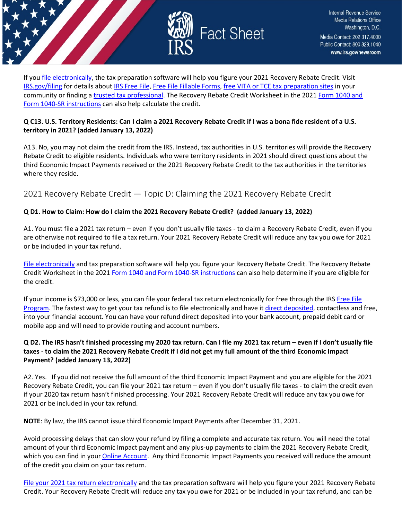

If yo[u file electronically,](https://www.irs.gov/filing/e-file-options) the tax preparation software will help you figure your 2021 Recovery Rebate Credit. Visit [IRS.gov/filing](https://www.irs.gov/filing) for details abou[t IRS Free File,](https://www.irs.gov/filing/free-file-do-your-federal-taxes-for-free) [Free File Fillable Forms,](https://www.irs.gov/e-file-providers/free-file-fillable-forms) [free VITA or TCE tax preparation sites](https://www.irs.gov/individuals/irs-free-tax-return-preparation-programs) in your community or finding [a trusted tax professional.](https://www.irs.gov/tax-professionals/choosing-a-tax-professional) The Recovery Rebate Credit Worksheet in the 2021 [Form 1040 and](https://www.irs.gov/forms-pubs/about-form-1040)  [Form 1040-SR instructions](https://www.irs.gov/forms-pubs/about-form-1040) can also help calculate the credit.

# **Q C13. U.S. Territory Residents: Can I claim a 2021 Recovery Rebate Credit if I was a bona fide resident of a U.S. territory in 2021? (added January 13, 2022)**

A13. No, you may not claim the credit from the IRS. Instead, tax authorities in U.S. territories will provide the Recovery Rebate Credit to eligible residents. Individuals who were territory residents in 2021 should direct questions about the third Economic Impact Payments received or the 2021 Recovery Rebate Credit to the tax authorities in the territories where they reside.

# <span id="page-13-0"></span>2021 Recovery Rebate Credit — Topic D: Claiming the 2021 Recovery Rebate Credit

# **Q D1. How to Claim: How do I claim the 2021 Recovery Rebate Credit? (added January 13, 2022)**

A1. You must file a 2021 tax return – even if you don't usually file taxes - to claim a Recovery Rebate Credit, even if you are otherwise not required to file a tax return. Your 2021 Recovery Rebate Credit will reduce any tax you owe for 2021 or be included in your tax refund.

[File electronically](https://www.irs.gov/filing/e-file-options) and tax preparation software will help you figure your Recovery Rebate Credit. The Recovery Rebate Credit Worksheet in the 2021 [Form 1040 and Form 1040-SR instructions](https://www.irs.gov/forms-pubs/about-form-1040) can also help determine if you are eligible for the credit.

If your income is \$73,000 or less, you can file your federal tax return electronically for free through the IRS [Free File](https://www.irs.gov/filing/free-file-do-your-federal-taxes-for-free)  [Program.](https://www.irs.gov/filing/free-file-do-your-federal-taxes-for-free) The fastest way to get your tax refund is to file electronically and have it [direct deposited,](https://www.irs.gov/refunds/get-your-refund-faster-tell-irs-to-direct-deposit-your-refund-to-one-two-or-three-accounts) contactless and free, into your financial account. You can have your refund direct deposited into your bank account, prepaid debit card or mobile app and will need to provide routing and account numbers.

# **Q D2. The IRS hasn't finished processing my 2020 tax return. Can I file my 2021 tax return – even if I don't usually file taxes - to claim the 2021 Recovery Rebate Credit if I did not get my full amount of the third Economic Impact Payment? (added January 13, 2022)**

A2. Yes. If you did not receive the full amount of the third Economic Impact Payment and you are eligible for the 2021 Recovery Rebate Credit, you can file your 2021 tax return – even if you don't usually file taxes - to claim the credit even if your 2020 tax return hasn't finished processing. Your 2021 Recovery Rebate Credit will reduce any tax you owe for 2021 or be included in your tax refund.

**NOTE**: By law, the IRS cannot issue third Economic Impact Payments after December 31, 2021.

Avoid processing delays that can slow your refund by filing a complete and accurate tax return. You will need the total amount of your third Economic Impact payment and any plus-up payments to claim the 2021 Recovery Rebate Credit, which you can find in your [Online Account.](https://www.irs.gov/payments/your-online-account) Any third Economic Impact Payments you received will reduce the amount of the credit you claim on your tax return.

[File your 2021 tax return electronically](https://www.irs.gov/filing/e-file-options) and the tax preparation software will help you figure your 2021 Recovery Rebate Credit. Your Recovery Rebate Credit will reduce any tax you owe for 2021 or be included in your tax refund, and can be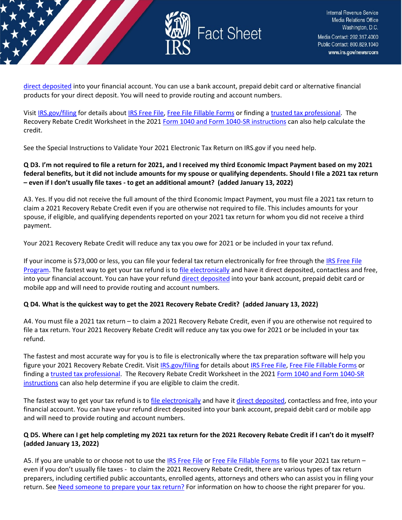

[direct deposited](https://www.irs.gov/refunds/get-your-refund-faster-tell-irs-to-direct-deposit-your-refund-to-one-two-or-three-accounts) into your financial account. You can use a bank account, prepaid debit card or alternative financial products for your direct deposit. You will need to provide routing and account numbers.

Visit [IRS.gov/filing](https://www.irs.gov/filing) for details about [IRS Free File,](https://www.irs.gov/filing/free-file-do-your-federal-taxes-for-free) [Free File Fillable Forms](https://www.irs.gov/e-file-providers/free-file-fillable-forms) or finding [a trusted tax professional.](https://www.irs.gov/tax-professionals/choosing-a-tax-professional) The Recovery Rebate Credit Worksheet in the 2021 [Form 1040 and Form 1040-SR instructions](https://www.irs.gov/forms-pubs/about-form-1040) can also help calculate the credit.

See the Special Instructions to Validate Your 2021 Electronic Tax Return on IRS.gov if you need help.

# **Q D3. I'm not required to file a return for 2021, and I received my third Economic Impact Payment based on my 2021 federal benefits, but it did not include amounts for my spouse or qualifying dependents. Should I file a 2021 tax return – even if I don't usually file taxes - to get an additional amount? (added January 13, 2022)**

A3. Yes. If you did not receive the full amount of the third Economic Impact Payment, you must file a 2021 tax return to claim a 2021 Recovery Rebate Credit even if you are otherwise not required to file. This includes amounts for your spouse, if eligible, and qualifying dependents reported on your 2021 tax return for whom you did not receive a third payment.

Your 2021 Recovery Rebate Credit will reduce any tax you owe for 2021 or be included in your tax refund.

If your income is \$73,000 or less, you can file your federal tax return electronically for free through th[e IRS Free File](https://www.irs.gov/filing/free-file-do-your-federal-taxes-for-free)  [Program.](https://www.irs.gov/filing/free-file-do-your-federal-taxes-for-free) The fastest way to get your tax refund is t[o file electronically](https://www.irs.gov/filing/e-file-options) and have it direct deposited, contactless and free, into your financial account. You can have your refund [direct deposited](https://www.irs.gov/refunds/get-your-refund-faster-tell-irs-to-direct-deposit-your-refund-to-one-two-or-three-accounts) into your bank account, prepaid debit card or mobile app and will need to provide routing and account numbers.

#### **Q D4. What is the quickest way to get the 2021 Recovery Rebate Credit? (added January 13, 2022)**

A4. You must file a 2021 tax return – to claim a 2021 Recovery Rebate Credit, even if you are otherwise not required to file a tax return. Your 2021 Recovery Rebate Credit will reduce any tax you owe for 2021 or be included in your tax refund.

The fastest and most accurate way for you is to file is electronically where the tax preparation software will help you figure your 2021 Recovery Rebate Credit. Visit [IRS.gov/filing](https://www.irs.gov/filing) for details about IRS [Free File,](https://www.irs.gov/filing/free-file-do-your-federal-taxes-for-free) [Free File Fillable Forms](https://www.irs.gov/e-file-providers/free-file-fillable-forms) or finding a [trusted tax professional.](https://www.irs.gov/tax-professionals/choosing-a-tax-professional) The Recovery Rebate Credit Worksheet in the 2021 [Form 1040 and Form 1040-SR](https://www.irs.gov/forms-pubs/about-form-1040)  [instructions](https://www.irs.gov/forms-pubs/about-form-1040) can also help determine if you are eligible to claim the credit.

The fastest way to get your tax refund is to [file electronically](https://www.irs.gov/filing/e-file-options) and have i[t direct deposited,](https://www.irs.gov/refunds/get-your-refund-faster-tell-irs-to-direct-deposit-your-refund-to-one-two-or-three-accounts) contactless and free, into your financial account. You can have your refund direct deposited into your bank account, prepaid debit card or mobile app and will need to provide routing and account numbers.

# **Q D5. Where can I get help completing my 2021 tax return for the 2021 Recovery Rebate Credit if I can't do it myself? (added January 13, 2022)**

A5. If you are unable to or choose not to use th[e IRS Free File](https://www.irs.gov/filing/free-file-do-your-federal-taxes-for-free) o[r Free File Fillable Forms](https://www.irs.gov/e-file-providers/free-file-fillable-forms) to file your 2021 tax return – even if you don't usually file taxes - to claim the 2021 Recovery Rebate Credit, there are various types of tax return preparers, including certified public accountants, enrolled agents, attorneys and others who can assist you in filing your return. See [Need someone to prepare your tax return?](https://www.irs.gov/tax-professionals/choosing-a-tax-professional) For information on how to choose the right preparer for you.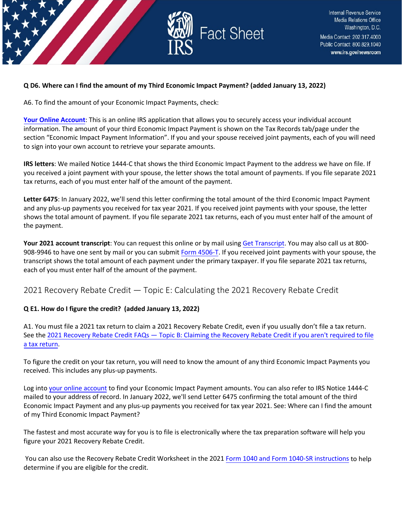

#### **Q D6. Where can I find the amount of my Third Economic Impact Payment? (added January 13, 2022)**

A6. To find the amount of your Economic Impact Payments, check:

**Your [Online Account](https://www.irs.gov/payments/your-online-account)**: This is an online IRS application that allows you to securely access your individual account information. The amount of your third Economic Impact Payment is shown on the Tax Records tab/page under the section "Economic Impact Payment Information". If you and your spouse received joint payments, each of you will need to sign into your own account to retrieve your separate amounts.

**IRS letters**: We mailed Notice 1444-C that shows the third Economic Impact Payment to the address we have on file. If you received a joint payment with your spouse, the letter shows the total amount of payments. If you file separate 2021 tax returns, each of you must enter half of the amount of the payment.

**Letter 6475**: In January 2022, we'll send this letter confirming the total amount of the third Economic Impact Payment and any plus-up payments you received for tax year 2021. If you received joint payments with your spouse, the letter shows the total amount of payment. If you file separate 2021 tax returns, each of you must enter half of the amount of the payment.

**Your 2021 account transcript**: You can request this online or by mail usin[g Get Transcript.](https://www.irs.gov/individuals/get-transcript) You may also call us at 800- 908-9946 to have one sent by mail or you can submit [Form 4506-T.](https://www.irs.gov/forms-pubs/about-form-4506-t) If you received joint payments with your spouse, the transcript shows the total amount of each payment under the primary taxpayer. If you file separate 2021 tax returns, each of you must enter half of the amount of the payment.

<span id="page-15-0"></span>2021 Recovery Rebate Credit — Topic E: Calculating the 2021 Recovery Rebate Credit

#### **Q E1. How do I figure the credit? (added January 13, 2022)**

A1. You must file a 2021 tax return to claim a 2021 Recovery Rebate Credit, even if you usually don't file a tax return. See the 2021 Recovery Rebate Credit FAQs — Topic B: [Claiming the Recovery Rebate Credit](https://www.irs.gov/newsroom/2021-recovery-rebate-credit-topic-b-claiming-the-2021-recovery-rebate-credit-if-you-arent-required-to-file-a-tax-return) if you aren't required to file [a tax return.](https://www.irs.gov/newsroom/2021-recovery-rebate-credit-topic-b-claiming-the-2021-recovery-rebate-credit-if-you-arent-required-to-file-a-tax-return)

To figure the credit on your tax return, you will need to know the amount of any third Economic Impact Payments you received. This includes any plus-up payments.

Log into your [online account](https://www.irs.gov/payments/your-online-account) to find your Economic Impact Payment amounts. You can also refer to IRS Notice 1444-C mailed to your address of record. In January 2022, we'll send Letter 6475 confirming the total amount of the third Economic Impact Payment and any plus-up payments you received for tax year 2021. See: Where can I find the amount of my Third Economic Impact Payment?

The fastest and most accurate way for you is to file is electronically where the tax preparation software will help you figure your 2021 Recovery Rebate Credit.

You can also use the Recovery Rebate Credit Worksheet in the 2021 Form 1040 and Form [1040-SR instructions](https://www.irs.gov/forms-pubs/about-form-1040) to help determine if you are eligible for the credit.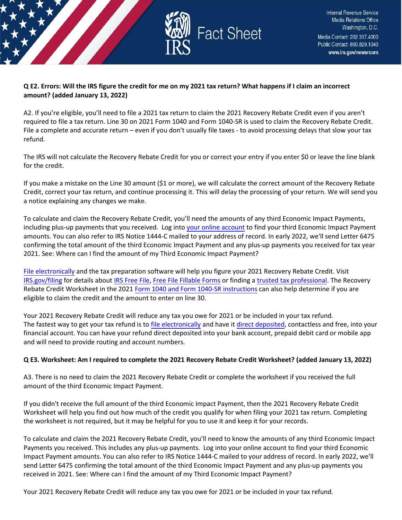

# **Q E2. Errors: Will the IRS figure the credit for me on my 2021 tax return? What happens if I claim an incorrect amount? (added January 13, 2022)**

A2. If you're eligible, you'll need to file a 2021 tax return to claim the 2021 Recovery Rebate Credit even if you aren't required to file a tax return. Line 30 on 2021 Form 1040 and Form 1040-SR is used to claim the Recovery Rebate Credit. File a complete and accurate return – even if you don't usually file taxes - to avoid processing delays that slow your tax refund.

The IRS will not calculate the Recovery Rebate Credit for you or correct your entry if you enter \$0 or leave the line blank for the credit.

If you make a mistake on the Line 30 amount (\$1 or more), we will calculate the correct amount of the Recovery Rebate Credit, correct your tax return, and continue processing it. This will delay the processing of your return. We will send you a notice explaining any changes we make.

To calculate and claim the Recovery Rebate Credit, you'll need the amounts of any third Economic Impact Payments, including plus-up payments that you received. Log into [your online](https://www.irs.gov/payments/your-online-account) account to find your third Economic Impact Payment amounts. You can also refer to IRS Notice 1444-C mailed to your address of record. In early 2022, we'll send Letter 6475 confirming the total amount of the third Economic Impact Payment and any plus-up payments you received for tax year 2021. See: Where can I find the amount of my Third Economic Impact Payment?

[File electronically](https://www.irs.gov/filing/e-file-options) and the tax preparation software will help you figure your 2021 Recovery Rebate Credit. Visit [IRS.gov/filing](https://www.irs.gov/filing) for details about [IRS Free File,](https://www.irs.gov/filing/free-file-do-your-federal-taxes-for-free) [Free File Fillable Forms](https://www.irs.gov/e-file-providers/free-file-fillable-forms) or finding [a trusted tax professional.](https://www.irs.gov/tax-professionals/choosing-a-tax-professional) The Recovery Rebate Credit Worksheet in the 2021 Form 1040 and [Form 1040-SR instructions](https://www.irs.gov/forms-pubs/about-form-1040) can also help determine if you are eligible to claim the credit and the amount to enter on line 30.

Your 2021 Recovery Rebate Credit will reduce any tax you owe for 2021 or be included in your tax refund. The fastest way to get your tax refund is to [file electronically](https://www.irs.gov/filing/e-file-options) and have it [direct deposited,](https://www.irs.gov/refunds/get-your-refund-faster-tell-irs-to-direct-deposit-your-refund-to-one-two-or-three-accounts) contactless and free, into your financial account. You can have your refund direct deposited into your bank account, prepaid debit card or mobile app and will need to provide routing and account numbers.

# **Q E3. Worksheet: Am I required to complete the 2021 Recovery Rebate Credit Worksheet? (added January 13, 2022)**

A3. There is no need to claim the 2021 Recovery Rebate Credit or complete the worksheet if you received the full amount of the third Economic Impact Payment.

If you didn't receive the full amount of the third Economic Impact Payment, then the 2021 Recovery Rebate Credit Worksheet will help you find out how much of the credit you qualify for when filing your 2021 tax return. Completing the worksheet is not required, but it may be helpful for you to use it and keep it for your records.

To calculate and claim the 2021 Recovery Rebate Credit, you'll need to know the amounts of any third Economic Impact Payments you received. This includes any plus-up payments. Log into your online account to find your third Economic Impact Payment amounts. You can also refer to IRS Notice 1444-C mailed to your address of record. In early 2022, we'll send Letter 6475 confirming the total amount of the third Economic Impact Payment and any plus-up payments you received in 2021. See: Where can I find the amount of my Third Economic Impact Payment?

Your 2021 Recovery Rebate Credit will reduce any tax you owe for 2021 or be included in your tax refund.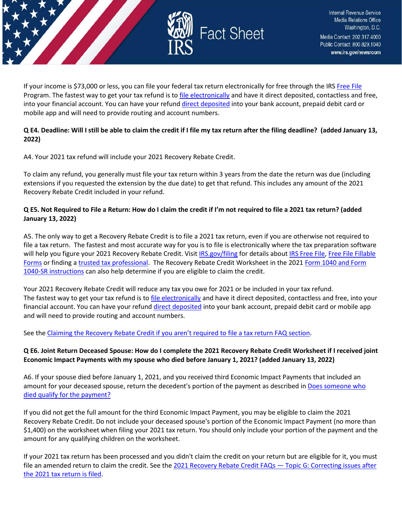

If your income is \$73,000 or less, you can file your federal tax return electronically for free through the IRS [Free File](https://www.irs.gov/filing/free-file-do-your-federal-taxes-for-free) Program. The fastest way to get your tax refund is t[o file electronically](https://www.irs.gov/filing/e-file-options) and have it direct deposited, contactless and free, into your financial account. You can have your refund [direct deposited](https://www.irs.gov/refunds/get-your-refund-faster-tell-irs-to-direct-deposit-your-refund-to-one-two-or-three-accounts) into your bank account, prepaid debit card or mobile app and will need to provide routing and account numbers.

# **Q E4. Deadline: Will I still be able to claim the credit if I file my tax return after the filing deadline? (added January 13, 2022)**

A4. Your 2021 tax refund will include your 2021 Recovery Rebate Credit.

To claim any refund, you generally must file your tax return within 3 years from the date the return was due (including extensions if you requested the extension by the due date) to get that refund. This includes any amount of the 2021 Recovery Rebate Credit included in your refund.

# **Q E5. Not Required to File a Return: How do I claim the credit if I'm not required to file a 2021 tax return? (added January 13, 2022)**

A5. The only way to get a Recovery Rebate Credit is to file a 2021 tax return, even if you are otherwise not required to file a tax return. The fastest and most accurate way for you is to file is electronically where the tax preparation software will help you figure your 2021 Recovery Rebate Credit. Visit [IRS.gov/filing](https://www.irs.gov/filing) for details abou[t IRS Free File,](https://www.irs.gov/filing/free-file-do-your-federal-taxes-for-free) Free File Fillable [Forms](https://www.irs.gov/e-file-providers/free-file-fillable-forms) or finding [a trusted tax professional.](https://www.irs.gov/tax-professionals/choosing-a-tax-professional) The Recovery Rebate Credit Worksheet in the 2021 Form 1040 and Form [1040-SR instructions](https://www.irs.gov/forms-pubs/about-form-1040) can also help determine if you are eligible to claim the credit.

Your 2021 Recovery Rebate Credit will reduce any tax you owe for 2021 or be included in your tax refund. The fastest way to get your tax refund is to *file electronically* and have it direct deposited, contactless and free, into your financial account. You can have your refund [direct deposited](https://www.irs.gov/refunds/get-your-refund-faster-tell-irs-to-direct-deposit-your-refund-to-one-two-or-three-accounts) into your bank account, prepaid debit card or mobile app and will need to provide routing and account numbers.

See the [Claiming the Recovery Rebate Credit if you aren't required to file a tax return FAQ section.](https://www.irs.gov/newsroom/2021-recovery-rebate-credit-topic-b-claiming-the-2021-recovery-rebate-credit-if-you-arent-required-to-file-a-tax-return)

# **Q E6. Joint Return Deceased Spouse: How do I complete the 2021 Recovery Rebate Credit Worksheet if I received joint Economic Impact Payments with my spouse who died before January 1, 2021? (added January 13, 2022)**

A6. If your spouse died before January 1, 2021, and you received third Economic Impact Payments that included an amount for your deceased spouse, return the decedent's portion of the payment as described in Does someone who [died qualify for the payment?](https://www.irs.gov/newsroom/questions-and-answers-about-the-first-economic-impact-payment-topic-a-eligibility)

If you did not get the full amount for the third Economic Impact Payment, you may be eligible to claim the 2021 Recovery Rebate Credit. Do not include your deceased spouse's portion of the Economic Impact Payment (no more than \$1,400) on the worksheet when filing your 2021 tax return. You should only include your portion of the payment and the amount for any qualifying children on the worksheet.

If your 2021 tax return has been processed and you didn't claim the credit on your return but are eligible for it, you must file an amended return to claim the credit. See the 2021 Recovery Rebate Credit FAQs - Topic G: Correcting issues after [the 2021 tax return is filed.](https://www.irs.gov/newsroom/2021-recovery-rebate-credit-topic-g-finding-the-third-economic-impact-payment-amount-to-calculate-the-2021-recovery-rebate-credit)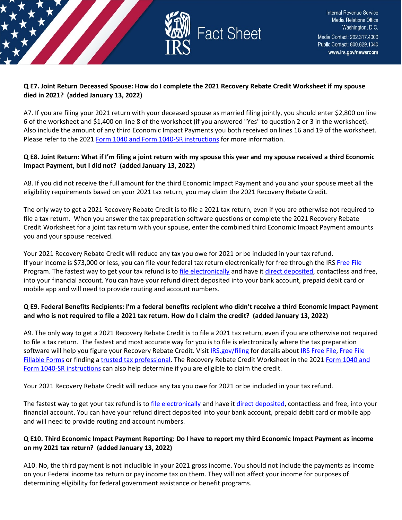

# **Q E7. Joint Return Deceased Spouse: How do I complete the 2021 Recovery Rebate Credit Worksheet if my spouse died in 2021? (added January 13, 2022)**

A7. If you are filing your 2021 return with your deceased spouse as married filing jointly, you should enter \$2,800 on line 6 of the worksheet and \$1,400 on line 8 of the worksheet (if you answered "Yes" to question 2 or 3 in the worksheet). Also include the amount of any third Economic Impact Payments you both received on lines 16 and 19 of the worksheet. Please refer to the 2021 [Form 1040 and Form 1040-SR instructions](https://www.irs.gov/forms-pubs/about-form-1040) for more information.

# **Q E8. Joint Return: What if I'm filing a joint return with my spouse this year and my spouse received a third Economic Impact Payment, but I did not? (added January 13, 2022)**

A8. If you did not receive the full amount for the third Economic Impact Payment and you and your spouse meet all the eligibility requirements based on your 2021 tax return, you may claim the 2021 Recovery Rebate Credit.

The only way to get a 2021 Recovery Rebate Credit is to file a 2021 tax return, even if you are otherwise not required to file a tax return. When you answer the tax preparation software questions or complete the 2021 Recovery Rebate Credit Worksheet for a joint tax return with your spouse, enter the combined third Economic Impact Payment amounts you and your spouse received.

Your 2021 Recovery Rebate Credit will reduce any tax you owe for 2021 or be included in your tax refund. If your income is \$73,000 or less, you can file your federal tax return electronically for free through the IRS [Free File](https://www.irs.gov/filing/free-file-do-your-federal-taxes-for-free) Program. The fastest way to get your tax refund is t[o file electronically](https://www.irs.gov/filing/e-file-options) and have it [direct deposited,](https://www.irs.gov/refunds/get-your-refund-faster-tell-irs-to-direct-deposit-your-refund-to-one-two-or-three-accounts) contactless and free, into your financial account. You can have your refund direct deposited into your bank account, prepaid debit card or mobile app and will need to provide routing and account numbers.

# **Q E9. Federal Benefits Recipients: I'm a federal benefits recipient who didn't receive a third Economic Impact Payment and who is not required to file a 2021 tax return. How do I claim the credit? (added January 13, 2022)**

A9. The only way to get a 2021 Recovery Rebate Credit is to file a 2021 tax return, even if you are otherwise not required to file a tax return. The fastest and most accurate way for you is to file is electronically where the tax preparation software will help you figure your Recovery Rebate Credit. Visi[t IRS.gov/filing](https://www.irs.gov/filing) for details about [IRS Free File,](https://www.irs.gov/filing/free-file-do-your-federal-taxes-for-free) Free File [Fillable Forms](https://www.irs.gov/e-file-providers/free-file-fillable-forms) or finding [a trusted tax professional.](https://www.irs.gov/tax-professionals/choosing-a-tax-professional) The Recovery Rebate Credit Worksheet in the 2021 Form 1040 and [Form 1040-SR instructions](https://www.irs.gov/forms-pubs/about-form-1040) can also help determine if you are eligible to claim the credit.

Your 2021 Recovery Rebate Credit will reduce any tax you owe for 2021 or be included in your tax refund.

The fastest way to get your tax refund is to [file electronically](https://www.irs.gov/filing/e-file-options) and have i[t direct deposited,](https://www.irs.gov/refunds/get-your-refund-faster-tell-irs-to-direct-deposit-your-refund-to-one-two-or-three-accounts) contactless and free, into your financial account. You can have your refund direct deposited into your bank account, prepaid debit card or mobile app and will need to provide routing and account numbers.

# **Q E10. Third Economic Impact Payment Reporting: Do I have to report my third Economic Impact Payment as income on my 2021 tax return? (added January 13, 2022)**

A10. No, the third payment is not includible in your 2021 gross income. You should not include the payments as income on your Federal income tax return or pay income tax on them. They will not affect your income for purposes of determining eligibility for federal government assistance or benefit programs.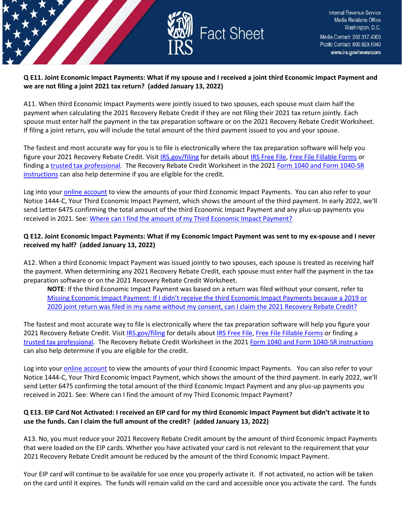

# **Q E11. Joint Economic Impact Payments: What if my spouse and I received a joint third Economic Impact Payment and we are not filing a joint 2021 tax return? (added January 13, 2022)**

A11. When third Economic Impact Payments were jointly issued to two spouses, each spouse must claim half the payment when calculating the 2021 Recovery Rebate Credit if they are not filing their 2021 tax return jointly. Each spouse must enter half the payment in the tax preparation software or on the 2021 Recovery Rebate Credit Worksheet. If filing a joint return, you will include the total amount of the third payment issued to you and your spouse.

The fastest and most accurate way for you is to file is electronically where the tax preparation software will help you figure your 2021 Recovery Rebate Credit. Visit [IRS.gov/filing](https://www.irs.gov/filing) for details abou[t IRS Free File,](https://www.irs.gov/filing/free-file-do-your-federal-taxes-for-free) [Free File Fillable Forms](https://www.irs.gov/e-file-providers/free-file-fillable-forms) or finding a [trusted tax professional.](https://www.irs.gov/tax-professionals/choosing-a-tax-professional) The Recovery Rebate Credit Worksheet in the 2021 Form 1040 and Form 1040-SR [instructions](https://www.irs.gov/forms-pubs/about-form-1040) can also help determine if you are eligible for the credit.

Log into your [online account](https://www.irs.gov/payments/your-online-account) to view the amounts of your third Economic Impact Payments. You can also refer to your Notice 1444-C, Your Third Economic Impact Payment, which shows the amount of the third payment. In early 2022, we'll send Letter 6475 confirming the total amount of the third Economic Impact Payment and any plus-up payments you received in 2021. See: [Where can I find the amount of my Third Economic Impact Payment?](https://www.irs.gov/newsroom/2021-recovery-rebate-credit-topic-d-claiming-the-2021-recovery-rebate-credit#q6) 

# **Q E12. Joint Economic Impact Payments: What if my Economic Impact Payment was sent to my ex-spouse and I never received my half? (added January 13, 2022)**

A12. When a third Economic Impact Payment was issued jointly to two spouses, each spouse is treated as receiving half the payment. When determining any 2021 Recovery Rebate Credit, each spouse must enter half the payment in the tax preparation software or on the 2021 Recovery Rebate Credit Worksheet.

**NOTE**: If the third Economic Impact Payment was based on a return was filed without your consent, refer to [Missing Economic Impact Payment: If I didn't receive the third Economic Impact Payments because a 2019 or](file:///C:%5CUsers%5CV0HBB%5CAppData%5CLocal%5CMicrosoft%5CWindows%5CINetCache%5CContent.Outlook%5CVOS5EG3Y%5CMissing%20Economic%20Impact%20Payment:%20If%20I%20didn)  [2020 joint return was filed in my name without my consent, can I claim the 2021 Recovery Rebate Credit?](file:///C:%5CUsers%5CV0HBB%5CAppData%5CLocal%5CMicrosoft%5CWindows%5CINetCache%5CContent.Outlook%5CVOS5EG3Y%5CMissing%20Economic%20Impact%20Payment:%20If%20I%20didn) 

The fastest and most accurate way to file is electronically where the tax preparation software will help you figure your 2021 Recovery Rebate Credit. Visit [IRS.gov/filing](https://www.irs.gov/filing) for details about [IRS Free File,](https://www.irs.gov/filing/free-file-do-your-federal-taxes-for-free) [Free File Fillable Forms](https://www.irs.gov/e-file-providers/free-file-fillable-forms) or finding a [trusted tax professional.](https://www.irs.gov/tax-professionals/choosing-a-tax-professional) The Recovery Rebate Credit Worksheet in the 2021 [Form 1040 and Form 1040-SR instructions](https://www.irs.gov/forms-pubs/about-form-1040) can also help determine if you are eligible for the credit.

Log into your [online account](https://www.irs.gov/payments/your-online-account) to view the amounts of your third Economic Impact Payments. You can also refer to your Notice 1444-C, Your Third Economic Impact Payment, which shows the amount of the third payment. In early 2022, we'll send Letter 6475 confirming the total amount of the third Economic Impact Payment and any plus-up payments you received in 2021. See: Where can I find the amount of my Third Economic Impact Payment?

# **Q E13. EIP Card Not Activated: I received an EIP card for my third Economic Impact Payment but didn't activate it to use the funds. Can I claim the full amount of the credit? (added January 13, 2022)**

A13. No, you must reduce your 2021 Recovery Rebate Credit amount by the amount of third Economic Impact Payments that were loaded on the EIP cards. Whether you have activated your card is not relevant to the requirement that your 2021 Recovery Rebate Credit amount be reduced by the amount of the third Economic Impact Payment.

Your EIP card will continue to be available for use once you properly activate it. If not activated, no action will be taken on the card until it expires. The funds will remain valid on the card and accessible once you activate the card. The funds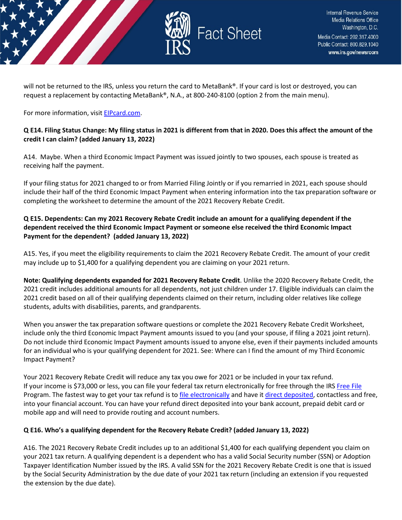

will not be returned to the IRS, unless you return the card to MetaBank®. If your card is lost or destroyed, you can request a replacement by contacting MetaBank®, N.A., at 800-240-8100 (option 2 from the main menu).

#### For more information, visi[t EIPcard.com.](https://www.eipcard.com/)

#### **Q E14. Filing Status Change: My filing status in 2021 is different from that in 2020. Does this affect the amount of the credit I can claim? (added January 13, 2022)**

A14. Maybe. When a third Economic Impact Payment was issued jointly to two spouses, each spouse is treated as receiving half the payment.

If your filing status for 2021 changed to or from Married Filing Jointly or if you remarried in 2021, each spouse should include their half of the third Economic Impact Payment when entering information into the tax preparation software or completing the worksheet to determine the amount of the 2021 Recovery Rebate Credit.

# **Q E15. Dependents: Can my 2021 Recovery Rebate Credit include an amount for a qualifying dependent if the dependent received the third Economic Impact Payment or someone else received the third Economic Impact Payment for the dependent? (added January 13, 2022)**

A15. Yes, if you meet the eligibility requirements to claim the 2021 Recovery Rebate Credit. The amount of your credit may include up to \$1,400 for a qualifying dependent you are claiming on your 2021 return.

**Note: Qualifying dependents expanded for 2021 Recovery Rebate Credit**. Unlike the 2020 Recovery Rebate Credit, the 2021 credit includes additional amounts for all dependents, not just children under 17. Eligible individuals can claim the 2021 credit based on all of their qualifying dependents claimed on their return, including older relatives like college students, adults with disabilities, parents, and grandparents.

When you answer the tax preparation software questions or complete the 2021 Recovery Rebate Credit Worksheet, include only the third Economic Impact Payment amounts issued to you (and your spouse, if filing a 2021 joint return). Do not include third Economic Impact Payment amounts issued to anyone else, even if their payments included amounts for an individual who is your qualifying dependent for 2021. See: Where can I find the amount of my Third Economic Impact Payment?

Your 2021 Recovery Rebate Credit will reduce any tax you owe for 2021 or be included in your tax refund. If your income is \$73,000 or less, you can file your federal tax return electronically for free through the IRS [Free File](https://www.irs.gov/filing/free-file-do-your-federal-taxes-for-free) Program. The fastest way to get your tax refund is t[o file electronically](https://www.irs.gov/filing/e-file-options) and have it [direct deposited,](https://www.irs.gov/refunds/get-your-refund-faster-tell-irs-to-direct-deposit-your-refund-to-one-two-or-three-accounts) contactless and free, into your financial account. You can have your refund direct deposited into your bank account, prepaid debit card or mobile app and will need to provide routing and account numbers.

# **Q E16. Who's a qualifying dependent for the Recovery Rebate Credit? (added January 13, 2022)**

A16. The 2021 Recovery Rebate Credit includes up to an additional \$1,400 for each qualifying dependent you claim on your 2021 tax return. A qualifying dependent is a dependent who has a valid Social Security number (SSN) or Adoption Taxpayer Identification Number issued by the IRS. A valid SSN for the 2021 Recovery Rebate Credit is one that is issued by the Social Security Administration by the due date of your 2021 tax return (including an extension if you requested the extension by the due date).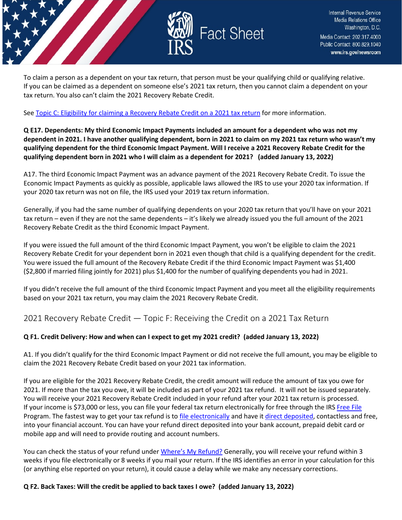

To claim a person as a dependent on your tax return, that person must be your qualifying child or qualifying relative. If you can be claimed as a dependent on someone else's 2021 tax return, then you cannot claim a dependent on your tax return. You also can't claim the 2021 Recovery Rebate Credit.

Se[e Topic C: Eligibility for claiming a Recovery Rebate Credit on a 2021 tax return](https://www.irs.gov/newsroom/2021-recovery-rebate-credit-topic-c-eligibility-for-claiming-a-recovery-rebate-credit-on-a-2021-tax-return) for more information.

**Q E17. Dependents: My third Economic Impact Payments included an amount for a dependent who was not my dependent in 2021. I have another qualifying dependent, born in 2021 to claim on my 2021 tax return who wasn't my qualifying dependent for the third Economic Impact Payment. Will I receive a 2021 Recovery Rebate Credit for the qualifying dependent born in 2021 who I will claim as a dependent for 2021? (added January 13, 2022)**

A17. The third Economic Impact Payment was an advance payment of the 2021 Recovery Rebate Credit. To issue the Economic Impact Payments as quickly as possible, applicable laws allowed the IRS to use your 2020 tax information. If your 2020 tax return was not on file, the IRS used your 2019 tax return information.

Generally, if you had the same number of qualifying dependents on your 2020 tax return that you'll have on your 2021 tax return – even if they are not the same dependents – it's likely we already issued you the full amount of the 2021 Recovery Rebate Credit as the third Economic Impact Payment.

If you were issued the full amount of the third Economic Impact Payment, you won't be eligible to claim the 2021 Recovery Rebate Credit for your dependent born in 2021 even though that child is a qualifying dependent for the credit. You were issued the full amount of the Recovery Rebate Credit if the third Economic Impact Payment was \$1,400 (\$2,800 if married filing jointly for 2021) plus \$1,400 for the number of qualifying dependents you had in 2021.

If you didn't receive the full amount of the third Economic Impact Payment and you meet all the eligibility requirements based on your 2021 tax return, you may claim the 2021 Recovery Rebate Credit.

<span id="page-21-0"></span>2021 Recovery Rebate Credit — Topic F: Receiving the Credit on a 2021 Tax Return

# **Q F1. Credit Delivery: How and when can I expect to get my 2021 credit? (added January 13, 2022)**

A1. If you didn't qualify for the third Economic Impact Payment or did not receive the full amount, you may be eligible to claim the 2021 Recovery Rebate Credit based on your 2021 tax information.

If you are eligible for the 2021 Recovery Rebate Credit, the credit amount will reduce the amount of tax you owe for 2021. If more than the tax you owe, it will be included as part of your 2021 tax refund. It will not be issued separately. You will receive your 2021 Recovery Rebate Credit included in your refund after your 2021 tax return is processed. If your income is \$73,000 or less, you can file your federal tax return electronically for free through the IRS [Free File](https://www.irs.gov/filing/free-file-do-your-federal-taxes-for-free) Program. The fastest way to get your tax refund is t[o file electronically](https://www.irs.gov/filing/e-file-options) and have it [direct deposited,](https://www.irs.gov/refunds/get-your-refund-faster-tell-irs-to-direct-deposit-your-refund-to-one-two-or-three-accounts) contactless and free, into your financial account. You can have your refund direct deposited into your bank account, prepaid debit card or mobile app and will need to provide routing and account numbers.

You can check the status of your refund unde[r Where's My Refund?](https://www.irs.gov/refunds) Generally, you will receive your refund within 3 weeks if you file electronically or 8 weeks if you mail your return. If the IRS identifies an error in your calculation for this (or anything else reported on your return), it could cause a delay while we make any necessary corrections.

# **Q F2. Back Taxes: Will the credit be applied to back taxes I owe? (added January 13, 2022)**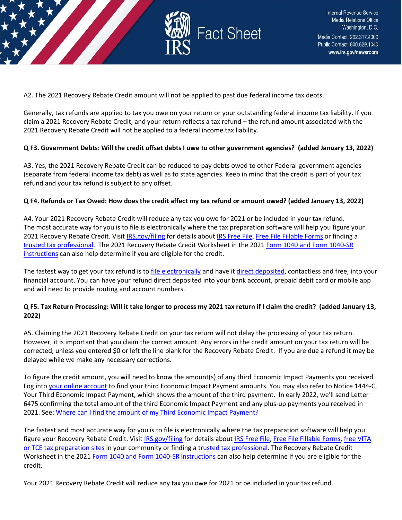

A2. The 2021 Recovery Rebate Credit amount will not be applied to past due federal income tax debts.

Generally, tax refunds are applied to tax you owe on your return or your outstanding federal income tax liability. If you claim a 2021 Recovery Rebate Credit, and your return reflects a tax refund – the refund amount associated with the 2021 Recovery Rebate Credit will not be applied to a federal income tax liability.

#### **Q F3. Government Debts: Will the credit offset debts I owe to other government agencies? (added January 13, 2022)**

A3. Yes, the 2021 Recovery Rebate Credit can be reduced to pay debts owed to other Federal government agencies (separate from federal income tax debt) as well as to state agencies. Keep in mind that the credit is part of your tax refund and your tax refund is subject to any offset.

#### **Q F4. Refunds or Tax Owed: How does the credit affect my tax refund or amount owed? (added January 13, 2022)**

A4. Your 2021 Recovery Rebate Credit will reduce any tax you owe for 2021 or be included in your tax refund. The most accurate way for you is to file is electronically where the tax preparation software will help you figure your 2021 Recovery Rebate Credit. Visit [IRS.gov/filing](https://www.irs.gov/filing) for details about [IRS Free File,](https://www.irs.gov/filing/free-file-do-your-federal-taxes-for-free) [Free File Fillable Forms](https://www.irs.gov/e-file-providers/free-file-fillable-forms) or finding a [trusted tax professional.](https://www.irs.gov/tax-professionals/choosing-a-tax-professional) The 2021 Recovery Rebate Credit Worksheet in the 202[1 Form 1040 and Form 1040-SR](https://www.irs.gov/forms-pubs/about-form-1040)  [instructions](https://www.irs.gov/forms-pubs/about-form-1040) can also help determine if you are eligible for the credit.

The fastest way to get your tax refund is to [file electronically](https://www.irs.gov/filing/e-file-options) and have i[t direct deposited,](https://www.irs.gov/refunds/get-your-refund-faster-tell-irs-to-direct-deposit-your-refund-to-one-two-or-three-accounts) contactless and free, into your financial account. You can have your refund direct deposited into your bank account, prepaid debit card or mobile app and will need to provide routing and account numbers.

# **Q F5. Tax Return Processing: Will it take longer to process my 2021 tax return if I claim the credit? (added January 13, 2022)**

A5. Claiming the 2021 Recovery Rebate Credit on your tax return will not delay the processing of your tax return. However, it is important that you claim the correct amount. Any errors in the credit amount on your tax return will be corrected, unless you entered \$0 or left the line blank for the Recovery Rebate Credit. If you are due a refund it may be delayed while we make any necessary corrections.

To figure the credit amount, you will need to know the amount(s) of any third Economic Impact Payments you received. Log into [your online account](https://www.irs.gov/payments/your-online-account) to find your third Economic Impact Payment amounts. You may also refer to Notice 1444-C, Your Third Economic Impact Payment, which shows the amount of the third payment. In early 2022, we'll send Letter 6475 confirming the total amount of the third Economic Impact Payment and any plus-up payments you received in 2021. See: Where can I find the amount of my Third Economic Impact Payment?

The fastest and most accurate way for you is to file is electronically where the tax preparation software will help you figure your Recovery Rebate Credit. Visi[t IRS.gov/filing](https://www.irs.gov/filing) for details about [IRS Free File,](https://www.irs.gov/filing/free-file-do-your-federal-taxes-for-free) [Free File Fillable Forms,](https://www.irs.gov/e-file-providers/free-file-fillable-forms) free VITA [or TCE tax preparation sites](https://www.irs.gov/node/9295) in your community or finding a [trusted tax professional.](https://www.irs.gov/tax-professionals/choosing-a-tax-professional) The Recovery Rebate Credit Worksheet in the 202[1 Form 1040 and Form 1040-SR instructions](https://www.irs.gov/forms-pubs/about-form-1040) can also help determine if you are eligible for the credit.

Your 2021 Recovery Rebate Credit will reduce any tax you owe for 2021 or be included in your tax refund.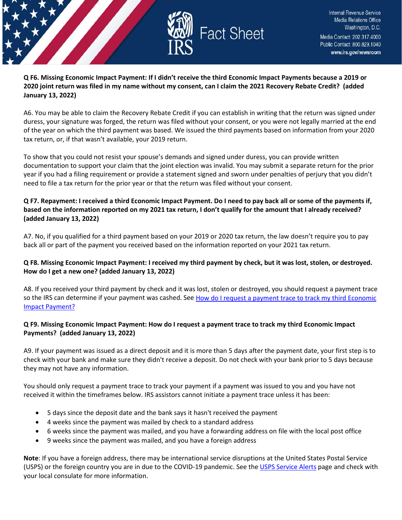

# **Q F6. Missing Economic Impact Payment: If I didn't receive the third Economic Impact Payments because a 2019 or 2020 joint return was filed in my name without my consent, can I claim the 2021 Recovery Rebate Credit? (added January 13, 2022)**

A6. You may be able to claim the Recovery Rebate Credit if you can establish in writing that the return was signed under duress, your signature was forged, the return was filed without your consent, or you were not legally married at the end of the year on which the third payment was based. We issued the third payments based on information from your 2020 tax return, or, if that wasn't available, your 2019 return.

To show that you could not resist your spouse's demands and signed under duress, you can provide written documentation to support your claim that the joint election was invalid. You may submit a separate return for the prior year if you had a filing requirement or provide a statement signed and sworn under penalties of perjury that you didn't need to file a tax return for the prior year or that the return was filed without your consent.

# **Q F7. Repayment: I received a third Economic Impact Payment. Do I need to pay back all or some of the payments if, based on the information reported on my 2021 tax return, I don't qualify for the amount that I already received? (added January 13, 2022)**

A7. No, if you qualified for a third payment based on your 2019 or 2020 tax return, the law doesn't require you to pay back all or part of the payment you received based on the information reported on your 2021 tax return.

# **Q F8. Missing Economic Impact Payment: I received my third payment by check, but it was lost, stolen, or destroyed. How do I get a new one? (added January 13, 2022)**

A8. If you received your third payment by check and it was lost, stolen or destroyed, you should request a payment trace so the IRS can determine if your payment was cashed. See How do I request a payment trace to track my third Economic [Impact Payment?](https://www.irs.gov/newsroom/questions-and-answers-about-the-third-economic-impact-payment-topic-j-payment-issued-but-lost-stolen-destroyed-or-not-received#howdoitrack)

# **Q F9. Missing Economic Impact Payment: How do I request a payment trace to track my third Economic Impact Payments? (added January 13, 2022)**

A9. If your payment was issued as a direct deposit and it is more than 5 days after the payment date, your first step is to check with your bank and make sure they didn't receive a deposit. Do not check with your bank prior to 5 days because they may not have any information.

You should only request a payment trace to track your payment if a payment was issued to you and you have not received it within the timeframes below. IRS assistors cannot initiate a payment trace unless it has been:

- 5 days since the deposit date and the bank says it hasn't received the payment
- 4 weeks since the payment was mailed by check to a standard address
- 6 weeks since the payment was mailed, and you have a forwarding address on file with the local post office
- 9 weeks since the payment was mailed, and you have a foreign address

**Note**: If you have a foreign address, there may be international service disruptions at the United States Postal Service (USPS) or the foreign country you are in due to the COVID-19 pandemic. See the [USPS Service Alerts](https://about.usps.com/newsroom/service-alerts/) page and check with your local consulate for more information.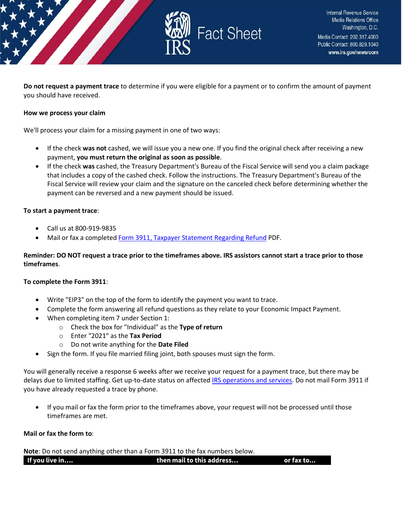

**Do not request a payment trace** to determine if you were eligible for a payment or to confirm the amount of payment you should have received.

#### **How we process your claim**

We'll process your claim for a missing payment in one of two ways:

- If the check **was not** cashed, we will issue you a new one. If you find the original check after receiving a new payment, **you must return the original as soon as possible**.
- If the check **was** cashed, the Treasury Department's Bureau of the Fiscal Service will send you a claim package that includes a copy of the cashed check. Follow the instructions. The Treasury Department's Bureau of the Fiscal Service will review your claim and the signature on the canceled check before determining whether the payment can be reversed and a new payment should be issued.

#### **To start a payment trace**:

- Call us at 800-919-9835
- Mail or fax a complete[d Form 3911, Taxpayer Statement Regarding Refund](https://www.irs.gov/pub/irs-pdf/f3911.pdf) PDF.

#### **Reminder: DO NOT request a trace prior to the timeframes above. IRS assistors cannot start a trace prior to those timeframes**.

#### **To complete the Form 3911**:

- Write "EIP3" on the top of the form to identify the payment you want to trace.
- Complete the form answering all refund questions as they relate to your Economic Impact Payment.
- When completing item 7 under Section 1:
	- o Check the box for "Individual" as the **Type of return**
	- o Enter "2021" as the **Tax Period**
	- o Do not write anything for the **Date Filed**
- Sign the form. If you file married filing joint, both spouses must sign the form.

You will generally receive a response 6 weeks after we receive your request for a payment trace, but there may be delays due to limited staffing. Get up-to-date status on affected [IRS operations and services.](https://www.irs.gov/newsroom/irs-operations-during-covid-19-mission-critical-functions-continue) Do not mail Form 3911 if you have already requested a trace by phone.

• If you mail or fax the form prior to the timeframes above, your request will not be processed until those timeframes are met.

#### **Mail or fax the form to**:

**Note**: Do not send anything other than a Form 3911 to the fax numbers below.

| If you live in | then mail to this address | or fax to |
|----------------|---------------------------|-----------|
|                |                           |           |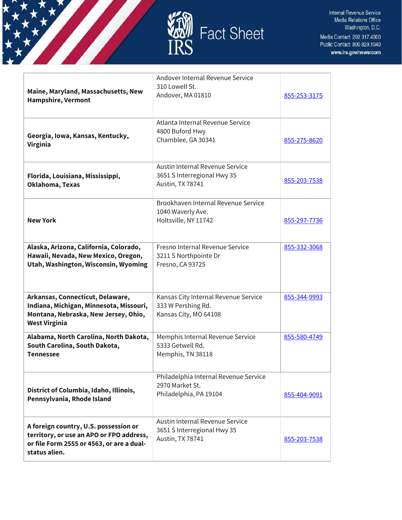



| Maine, Maryland, Massachusetts, New<br><b>Hampshire, Vermont</b>                                                                                | Andover Internal Revenue Service<br>310 Lowell St.<br>Andover, MA 01810             | 855-253-3175 |
|-------------------------------------------------------------------------------------------------------------------------------------------------|-------------------------------------------------------------------------------------|--------------|
| Georgia, Iowa, Kansas, Kentucky,<br><b>Virginia</b>                                                                                             | Atlanta Internal Revenue Service<br>4800 Buford Hwy<br>Chamblee, GA 30341           | 855-275-8620 |
| Florida, Louisiana, Mississippi,<br>Oklahoma, Texas                                                                                             | Austin Internal Revenue Service<br>3651 S Interregional Hwy 35<br>Austin, TX 78741  | 855-203-7538 |
| <b>New York</b>                                                                                                                                 | Brookhaven Internal Revenue Service<br>1040 Waverly Ave.<br>Holtsville, NY 11742    | 855-297-7736 |
| Alaska, Arizona, California, Colorado,<br>Hawaii, Nevada, New Mexico, Oregon,<br>Utah, Washington, Wisconsin, Wyoming                           | Fresno Internal Revenue Service<br>3211 S Northpointe Dr<br>Fresno, CA 93725        | 855-332-3068 |
| Arkansas, Connecticut, Delaware,<br>Indiana, Michigan, Minnesota, Missouri,<br>Montana, Nebraska, New Jersey, Ohio,<br><b>West Virginia</b>     | Kansas City Internal Revenue Service<br>333 W Pershing Rd.<br>Kansas City, MO 64108 | 855-344-9993 |
| Alabama, North Carolina, North Dakota,<br>South Carolina, South Dakota,<br><b>Tennessee</b>                                                     | Memphis Internal Revenue Service<br>5333 Getwell Rd.<br>Memphis, TN 38118           | 855-580-4749 |
| District of Columbia, Idaho, Illinois,<br>Pennsylvania, Rhode Island                                                                            | Philadelphia Internal Revenue Service<br>2970 Market St.<br>Philadelphia, PA 19104  | 855-404-9091 |
| A foreign country, U.S. possession or<br>territory, or use an APO or FPO address,<br>or file Form 2555 or 4563, or are a dual-<br>status alien. | Austin Internal Revenue Service<br>3651 S Interregional Hwy 35<br>Austin, TX 78741  | 855-203-7538 |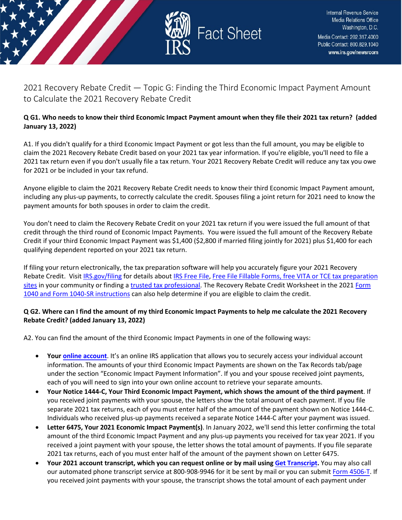

<span id="page-26-0"></span>2021 Recovery Rebate Credit — Topic G: Finding the Third Economic Impact Payment Amount to Calculate the 2021 Recovery Rebate Credit

# **Q G1. Who needs to know their third Economic Impact Payment amount when they file their 2021 tax return? (added January 13, 2022)**

A1. If you didn't qualify for a third Economic Impact Payment or got less than the full amount, you may be eligible to claim the 2021 Recovery Rebate Credit based on your 2021 tax year information. If you're eligible, you'll need to file a 2021 tax return even if you don't usually file a tax return. Your 2021 Recovery Rebate Credit will reduce any tax you owe for 2021 or be included in your tax refund.

Anyone eligible to claim the 2021 Recovery Rebate Credit needs to know their third Economic Impact Payment amount, including any plus-up payments, to correctly calculate the credit. Spouses filing a joint return for 2021 need to know the payment amounts for both spouses in order to claim the credit.

You don't need to claim the Recovery Rebate Credit on your 2021 tax return if you were issued the full amount of that credit through the third round of Economic Impact Payments. You were issued the full amount of the Recovery Rebate Credit if your third Economic Impact Payment was \$1,400 (\$2,800 if married filing jointly for 2021) plus \$1,400 for each qualifying dependent reported on your 2021 tax return.

If filing your return electronically, the tax preparation software will help you accurately figure your 2021 Recovery Rebate Credit. Visit [IRS.gov/filing](https://www.irs.gov/filing) for details about [IRS Free File,](https://www.irs.gov/filing/free-file-do-your-federal-taxes-for-free) [Free File Fillable Forms](https://www.irs.gov/e-file-providers/free-file-fillable-forms), free VITA or TCE tax preparation [sites](https://www.irs.gov/individuals/irs-free-tax-return-preparation-programs) in your community or finding a [trusted tax professional.](https://www.irs.gov/tax-professionals/choosing-a-tax-professional) The Recovery Rebate Credit Worksheet in the 2021 Form [1040 and Form 1040-SR instructions](https://www.irs.gov/forms-pubs/about-form-1040) can also help determine if you are eligible to claim the credit.

# **Q G2. Where can I find the amount of my third Economic Impact Payments to help me calculate the 2021 Recovery Rebate Credit? (added January 13, 2022)**

A2. You can find the amount of the third Economic Impact Payments in one of the following ways:

- **Your online [account](https://www.irs.gov/payments/your-online-account)**. It's an online IRS application that allows you to securely access your individual account information. The amounts of your third Economic Impact Payments are shown on the Tax Records tab/page under the section "Economic Impact Payment Information". If you and your spouse received joint payments, each of you will need to sign into your own online account to retrieve your separate amounts.
- **Your Notice 1444-C, Your Third Economic Impact Payment, which shows the amount of the third payment**. If you received joint payments with your spouse, the letters show the total amount of each payment. If you file separate 2021 tax returns, each of you must enter half of the amount of the payment shown on Notice 1444-C. Individuals who received plus-up payments received a separate Notice 1444-C after your payment was issued.
- **Letter 6475, Your 2021 Economic Impact Payment(s)**. In January 2022, we'll send this letter confirming the total amount of the third Economic Impact Payment and any plus-up payments you received for tax year 2021. If you received a joint payment with your spouse, the letter shows the total amount of payments. If you file separate 2021 tax returns, each of you must enter half of the amount of the payment shown on Letter 6475.
- **Your 2021 account transcript, which you can request online or by mail using [Get Transcript.](https://www.irs.gov/individuals/get-transcript)** You may also call our automated phone transcript service at 800-908-9946 for it be sent by mail or you can submit [Form 4506-T.](https://www.irs.gov/forms-pubs/about-form-4506-t) If you received joint payments with your spouse, the transcript shows the total amount of each payment under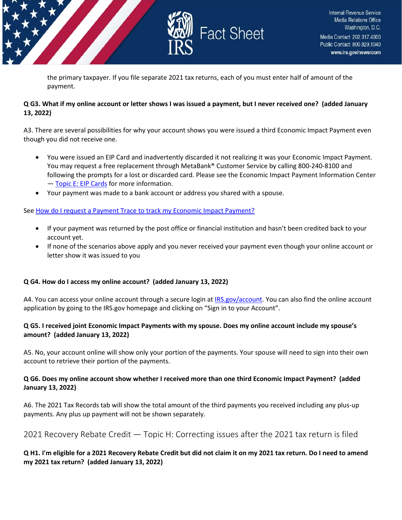

the primary taxpayer. If you file separate 2021 tax returns, each of you must enter half of amount of the payment.

#### **Q G3. What if my online account or letter shows I was issued a payment, but I never received one? (added January 13, 2022)**

A3. There are several possibilities for why your account shows you were issued a third Economic Impact Payment even though you did not receive one.

- You were issued an EIP Card and inadvertently discarded it not realizing it was your Economic Impact Payment. You may request a free replacement through MetaBank® Customer Service by calling 800-240-8100 and following the prompts for a lost or discarded card. Please see the Economic Impact Payment Information Center — [Topic E: EIP Cards](https://www.irs.gov/newsroom/questions-and-answers-about-the-first-economic-impact-payment-topic-e-eip-cards) for more information.
- Your payment was made to a bank account or address you shared with a spouse.

#### Se[e How do I request a Payment Trace to track my Economic Impact Payment?](https://www.irs.gov/newsroom/questions-and-answers-about-the-third-economic-impact-payment-topic-j-payment-issued-but-lost-stolen-destroyed-or-not-received)

- If your payment was returned by the post office or financial institution and hasn't been credited back to your account yet.
- If none of the scenarios above apply and you never received your payment even though your online account or letter show it was issued to you

# **Q G4. How do I access my online account? (added January 13, 2022)**

A4. You can access your online account through a secure login at [IRS.gov/account.](https://www.irs.gov/payments/your-online-account) You can also find the online account application by going to the IRS.gov homepage and clicking on "Sign in to your Account".

#### **Q G5. I received joint Economic Impact Payments with my spouse. Does my online account include my spouse's amount? (added January 13, 2022)**

A5. No, your account online will show only your portion of the payments. Your spouse will need to sign into their own account to retrieve their portion of the payments.

#### **Q G6. Does my online account show whether I received more than one third Economic Impact Payment? (added January 13, 2022)**

A6. The 2021 Tax Records tab will show the total amount of the third payments you received including any plus-up payments. Any plus up payment will not be shown separately.

# <span id="page-27-0"></span>2021 Recovery Rebate Credit — Topic H: Correcting issues after the 2021 tax return is filed

# **Q H1. I'm eligible for a 2021 Recovery Rebate Credit but did not claim it on my 2021 tax return. Do I need to amend my 2021 tax return? (added January 13, 2022)**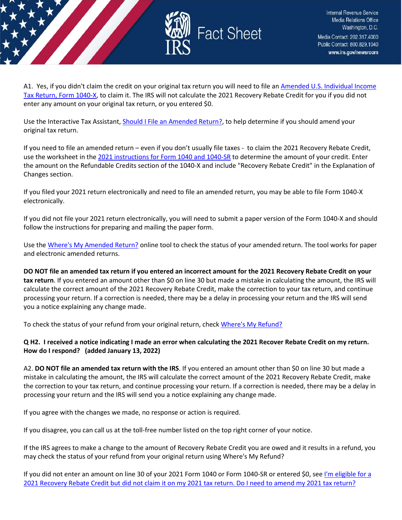

A1. Yes, if you didn't claim the credit on your original tax return you will need to file an Amended U.S. Individual Income [Tax Return, Form 1040-X,](https://www.irs.gov/forms-pubs/about-form-1040x) to claim it. The IRS will not calculate the 2021 Recovery Rebate Credit for you if you did not enter any amount on your original tax return, or you entered \$0.

Use the Interactive Tax Assistant[, Should I File an Amended Return?,](https://www.irs.gov/help/ita/should-i-file-an-amended-return) to help determine if you should amend your original tax return.

If you need to file an amended return – even if you don't usually file taxes - to claim the 2021 Recovery Rebate Credit, use the worksheet in the [2021 instructions for Form 1040 and 1040-SR](https://www.irs.gov/forms-pubs/about-form-1040) to determine the amount of your credit. Enter the amount on the Refundable Credits section of the 1040-X and include "Recovery Rebate Credit" in the Explanation of Changes section.

If you filed your 2021 return electronically and need to file an amended return, you may be able to file Form 1040-X electronically.

If you did not file your 2021 return electronically, you will need to submit a paper version of the Form 1040-X and should follow the instructions for preparing and mailing the paper form.

Use th[e Where's My Amended Return?](https://www.irs.gov/filing/wheres-my-amended-return) online tool to check the status of your amended return. The tool works for paper and electronic amended returns.

**DO NOT file an amended tax return if you entered an incorrect amount for the 2021 Recovery Rebate Credit on your tax return**. If you entered an amount other than \$0 on line 30 but made a mistake in calculating the amount, the IRS will calculate the correct amount of the 2021 Recovery Rebate Credit, make the correction to your tax return, and continue processing your return. If a correction is needed, there may be a delay in processing your return and the IRS will send you a notice explaining any change made.

To check the status of your refund from your original return, chec[k Where's My Refund?](https://www.irs.gov/refunds)

# **Q H2. I received a notice indicating I made an error when calculating the 2021 Recover Rebate Credit on my return. How do I respond? (added January 13, 2022)**

A2. **DO NOT file an amended tax return with the IRS**. If you entered an amount other than \$0 on line 30 but made a mistake in calculating the amount, the IRS will calculate the correct amount of the 2021 Recovery Rebate Credit, make the correction to your tax return, and continue processing your return. If a correction is needed, there may be a delay in processing your return and the IRS will send you a notice explaining any change made.

If you agree with the changes we made, no response or action is required.

If you disagree, you can call us at the toll-free number listed on the top right corner of your notice.

If the IRS agrees to make a change to the amount of Recovery Rebate Credit you are owed and it results in a refund, you may check the status of your refund from your original return using Where's My Refund?

If you did not enter an amount on line 30 of your 2021 Form 1040 or Form 1040-SR or entered \$0, see [I'm eligible for a](https://www.irs.gov/newsroom/2021-recovery-rebate-credit-topic-h-correcting-issues-after-the-2021-tax-return-is-filed#q1)  [2021 Recovery Rebate Credit but did not claim it on my 2021 tax return. Do I need to amend my 2021 tax return?](https://www.irs.gov/newsroom/2021-recovery-rebate-credit-topic-h-correcting-issues-after-the-2021-tax-return-is-filed#q1)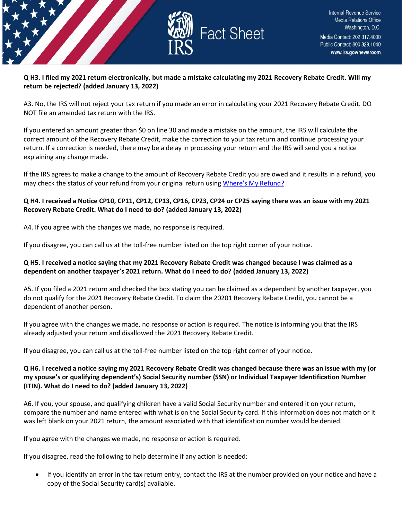

# **Q H3. I filed my 2021 return electronically, but made a mistake calculating my 2021 Recovery Rebate Credit. Will my return be rejected? (added January 13, 2022)**

A3. No, the IRS will not reject your tax return if you made an error in calculating your 2021 Recovery Rebate Credit. DO NOT file an amended tax return with the IRS.

If you entered an amount greater than \$0 on line 30 and made a mistake on the amount, the IRS will calculate the correct amount of the Recovery Rebate Credit, make the correction to your tax return and continue processing your return. If a correction is needed, there may be a delay in processing your return and the IRS will send you a notice explaining any change made.

If the IRS agrees to make a change to the amount of Recovery Rebate Credit you are owed and it results in a refund, you may check the status of your refund from your original return usin[g Where's My Refund?](https://www.irs.gov/refunds)

# **Q H4. I received a Notice CP10, CP11, CP12, CP13, CP16, CP23, CP24 or CP25 saying there was an issue with my 2021 Recovery Rebate Credit. What do I need to do? (added January 13, 2022)**

A4. If you agree with the changes we made, no response is required.

If you disagree, you can call us at the toll-free number listed on the top right corner of your notice.

#### **Q H5. I received a notice saying that my 2021 Recovery Rebate Credit was changed because I was claimed as a dependent on another taxpayer's 2021 return. What do I need to do? (added January 13, 2022)**

A5. If you filed a 2021 return and checked the box stating you can be claimed as a dependent by another taxpayer, you do not qualify for the 2021 Recovery Rebate Credit. To claim the 20201 Recovery Rebate Credit, you cannot be a dependent of another person.

If you agree with the changes we made, no response or action is required. The notice is informing you that the IRS already adjusted your return and disallowed the 2021 Recovery Rebate Credit.

If you disagree, you can call us at the toll-free number listed on the top right corner of your notice.

# **Q H6. I received a notice saying my 2021 Recovery Rebate Credit was changed because there was an issue with my (or my spouse's or qualifying dependent's) Social Security number (SSN) or Individual Taxpayer Identification Number (ITIN). What do I need to do? (added January 13, 2022)**

A6. If you, your spouse, and qualifying children have a valid Social Security number and entered it on your return, compare the number and name entered with what is on the Social Security card. If this information does not match or it was left blank on your 2021 return, the amount associated with that identification number would be denied.

If you agree with the changes we made, no response or action is required.

If you disagree, read the following to help determine if any action is needed:

• If you identify an error in the tax return entry, contact the IRS at the number provided on your notice and have a copy of the Social Security card(s) available.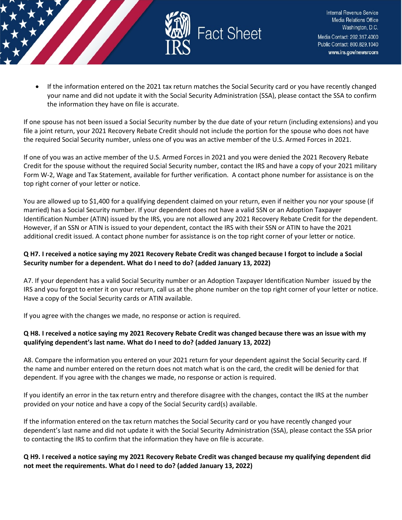

• If the information entered on the 2021 tax return matches the Social Security card or you have recently changed your name and did not update it with the Social Security Administration (SSA), please contact the SSA to confirm the information they have on file is accurate.

If one spouse has not been issued a Social Security number by the due date of your return (including extensions) and you file a joint return, your 2021 Recovery Rebate Credit should not include the portion for the spouse who does not have the required Social Security number, unless one of you was an active member of the U.S. Armed Forces in 2021.

If one of you was an active member of the U.S. Armed Forces in 2021 and you were denied the 2021 Recovery Rebate Credit for the spouse without the required Social Security number, contact the IRS and have a copy of your 2021 military Form W-2, Wage and Tax Statement, available for further verification. A contact phone number for assistance is on the top right corner of your letter or notice.

You are allowed up to \$1,400 for a qualifying dependent claimed on your return, even if neither you nor your spouse (if married) has a Social Security number. If your dependent does not have a valid SSN or an Adoption Taxpayer Identification Number (ATIN) issued by the IRS, you are not allowed any 2021 Recovery Rebate Credit for the dependent. However, if an SSN or ATIN is issued to your dependent, contact the IRS with their SSN or ATIN to have the 2021 additional credit issued. A contact phone number for assistance is on the top right corner of your letter or notice.

# **Q H7. I received a notice saying my 2021 Recovery Rebate Credit was changed because I forgot to include a Social Security number for a dependent. What do I need to do? (added January 13, 2022)**

A7. If your dependent has a valid Social Security number or an Adoption Taxpayer Identification Number issued by the IRS and you forgot to enter it on your return, call us at the phone number on the top right corner of your letter or notice. Have a copy of the Social Security cards or ATIN available.

If you agree with the changes we made, no response or action is required.

# **Q H8. I received a notice saying my 2021 Recovery Rebate Credit was changed because there was an issue with my qualifying dependent's last name. What do I need to do? (added January 13, 2022)**

A8. Compare the information you entered on your 2021 return for your dependent against the Social Security card. If the name and number entered on the return does not match what is on the card, the credit will be denied for that dependent. If you agree with the changes we made, no response or action is required.

If you identify an error in the tax return entry and therefore disagree with the changes, contact the IRS at the number provided on your notice and have a copy of the Social Security card(s) available.

If the information entered on the tax return matches the Social Security card or you have recently changed your dependent's last name and did not update it with the Social Security Administration (SSA), please contact the SSA prior to contacting the IRS to confirm that the information they have on file is accurate.

# **Q H9. I received a notice saying my 2021 Recovery Rebate Credit was changed because my qualifying dependent did not meet the requirements. What do I need to do? (added January 13, 2022)**